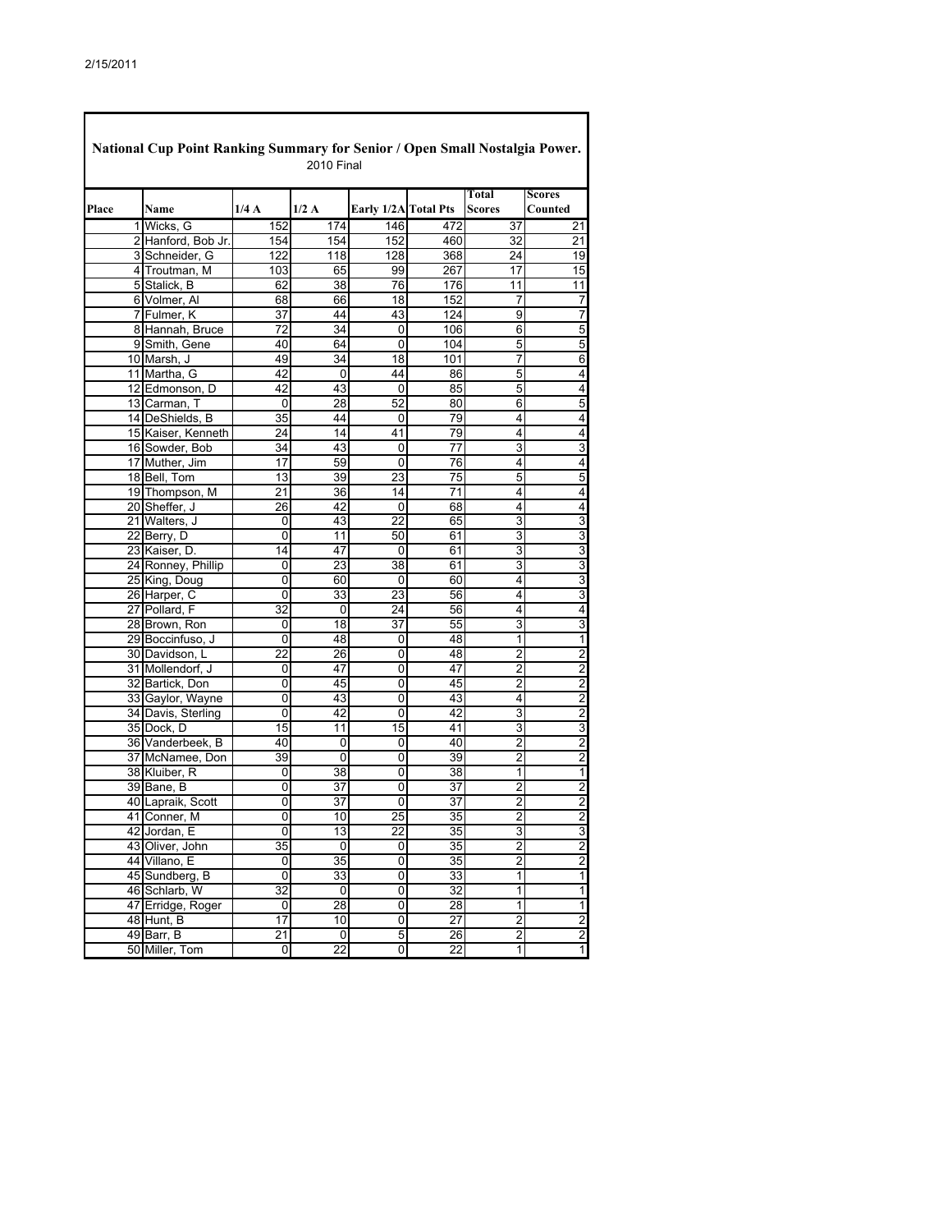| National Cup Point Ranking Summary for Senior / Open Small Nostalgia Power.<br><b>2010 Final</b> |                    |                |                 |                      |                 |                        |                             |  |  |  |
|--------------------------------------------------------------------------------------------------|--------------------|----------------|-----------------|----------------------|-----------------|------------------------|-----------------------------|--|--|--|
| Place                                                                                            | Name               | 1/4A           | 1/2A            | Early 1/2A Total Pts |                 | Total<br><b>Scores</b> | <b>Scores</b><br>Counted    |  |  |  |
|                                                                                                  | 1 Wicks, G         | 152            | 174             | 146                  | 472             | 37                     | 21                          |  |  |  |
|                                                                                                  | 2 Hanford, Bob Jr. | 154            | 154             | 152                  | 460             | 32                     | $\overline{21}$             |  |  |  |
|                                                                                                  | 3 Schneider, G     | 122            | 118             | 128                  | 368             | 24                     | 19                          |  |  |  |
|                                                                                                  | 4 Troutman, M      | 103            | 65              | 99                   | 267             | 17                     | 15                          |  |  |  |
|                                                                                                  | 5 Stalick, B       | 62             | 38              | 76                   | 176             | 11                     | 11                          |  |  |  |
|                                                                                                  | 6 Volmer, Al       | 68             | 66              | 18                   | 152             | 7                      | $\overline{7}$              |  |  |  |
|                                                                                                  | 7 Fulmer, K        | 37             | 44              | 43                   | 124             | 9                      | 7                           |  |  |  |
|                                                                                                  | 8 Hannah, Bruce    | 72             | 34              | 0                    | 106             | 6                      | 5                           |  |  |  |
|                                                                                                  | 9 Smith, Gene      | 40             | 64              | 0                    | 104             | 5                      | 5                           |  |  |  |
|                                                                                                  | 10 Marsh, J        | 49             | 34              | 18                   | 101             | 7                      | 6                           |  |  |  |
|                                                                                                  | 11 Martha, G       | 42             | 0               | 44                   | 86              | 5                      | 4                           |  |  |  |
|                                                                                                  | 12 Edmonson, D     | 42             | 43              | 0                    | 85              | 5                      | 4                           |  |  |  |
|                                                                                                  | 13 Carman, T       | 0              | 28              | 52                   | 80              | 6                      | 5                           |  |  |  |
|                                                                                                  | 14 DeShields, B    | 35             | 44              | 0                    | 79              | 4                      | $\overline{4}$              |  |  |  |
|                                                                                                  | 15 Kaiser, Kenneth | 24             | 14              | 41                   | 79              | 4                      | $\overline{4}$              |  |  |  |
|                                                                                                  | 16 Sowder, Bob     | 34             | 43              | 0                    | 77              | 3                      | 3                           |  |  |  |
|                                                                                                  | 17 Muther, Jim     | 17             | 59              | 0                    | 76              | 4                      | 4                           |  |  |  |
|                                                                                                  | 18 Bell, Tom       | 13             | 39              | 23                   | 75              | 5                      | 5                           |  |  |  |
|                                                                                                  | 19 Thompson, M     | 21             | 36              | 14                   | 71              | 4                      | 4                           |  |  |  |
|                                                                                                  | 20 Sheffer, J      | 26             | 42              | 0                    | 68              | 4                      | 4                           |  |  |  |
|                                                                                                  | 21 Walters, J      | 0              | 43              | 22                   | 65              | 3                      | $\overline{3}$              |  |  |  |
|                                                                                                  | 22 Berry, D        | 0              | 11              | 50                   | 61              | 3                      | 3                           |  |  |  |
|                                                                                                  | 23 Kaiser, D.      | 14             | 47              | 0                    | 61              | 3                      |                             |  |  |  |
|                                                                                                  | 24 Ronney, Phillip | 0              | 23              | 38                   | 61              | 3                      | $\frac{3}{3}$               |  |  |  |
|                                                                                                  | 25 King, Doug      | 0              | 60              | 0                    | 60              | 4                      | $\overline{3}$              |  |  |  |
|                                                                                                  | 26 Harper, C       | 0              | 33              | 23                   | 56              | 4                      | $\overline{3}$              |  |  |  |
|                                                                                                  | 27 Pollard, F      | 32             | 0               | 24                   | 56              | 4                      | $\overline{4}$              |  |  |  |
|                                                                                                  | 28 Brown, Ron      | 0              | 18              | 37                   | 55              | 3                      | 3                           |  |  |  |
|                                                                                                  | 29 Boccinfuso, J   | 0              | 48              | 0                    | 48              | 1                      | $\overline{\mathbf{1}}$     |  |  |  |
|                                                                                                  | 30 Davidson, L     | 22             | 26              | 0                    | 48              | $\overline{2}$         |                             |  |  |  |
|                                                                                                  | 31 Mollendorf, J   | 0              | 47              | 0                    | 47              | 2                      |                             |  |  |  |
|                                                                                                  | 32 Bartick, Don    | 0              | 45              | 0                    | 45              | $\overline{2}$         | $\frac{2}{2}$ $\frac{2}{2}$ |  |  |  |
|                                                                                                  | 33 Gaylor, Wayne   | 0              | 43              | 0                    | 43              | 4                      |                             |  |  |  |
|                                                                                                  | 34 Davis, Sterling | 0              | 42              | 0                    | 42              | 3                      |                             |  |  |  |
|                                                                                                  | 35 Dock, D         | 15             | 11              | 15                   | 41              | 3                      | ساما                        |  |  |  |
|                                                                                                  | 36 Vanderbeek, B   | 40             | 0               | 0                    | 40              | 2                      |                             |  |  |  |
|                                                                                                  | 37 McNamee, Don    | 39             | 0               | 0                    | 39              | 2                      |                             |  |  |  |
|                                                                                                  | 38 Kluiber, R      | 0              | 38              | 0                    | 38              | 1                      | $\overline{1}$              |  |  |  |
|                                                                                                  | 39 Bane, B         | 0              | 37              | 0                    | 37              | $\overline{c}$         | $\frac{2}{2}$               |  |  |  |
|                                                                                                  | 40 Lapraik, Scott  | 0              | 37              | 0                    | 37              | 2                      |                             |  |  |  |
|                                                                                                  | 41 Conner, M       | $\overline{0}$ | 10              | $\overline{25}$      | 35              | $\overline{2}$         | $\overline{2}$              |  |  |  |
|                                                                                                  | 42 Jordan, E       | 0              | 13              | 22                   | 35              | 3                      | $\overline{3}$              |  |  |  |
|                                                                                                  | 43 Oliver, John    | 35             | 0               | 0                    | 35              | $\overline{2}$         |                             |  |  |  |
|                                                                                                  | 44 Villano, E      | 0              | 35              | 0                    | 35              | $\overline{2}$         | $\frac{2}{1}$               |  |  |  |
|                                                                                                  | 45 Sundberg, B     | 0              | 33              | 0                    | 33              | $\overline{1}$         |                             |  |  |  |
|                                                                                                  | 46 Schlarb, W      | 32             | 0               | 0                    | 32              | $\overline{1}$         | $\overline{\mathbf{1}}$     |  |  |  |
|                                                                                                  | 47 Erridge, Roger  | 0              | 28              | $\overline{0}$       | 28              | $\overline{1}$         |                             |  |  |  |
|                                                                                                  | 48 Hunt, B         | 17             | 10              | 0                    | $\overline{27}$ | $\overline{2}$         | $\frac{1}{2}$               |  |  |  |
|                                                                                                  | 49 Barr, B         | 21             | 0               | 5                    | 26              | 2                      |                             |  |  |  |
|                                                                                                  | 50 Miller, Tom     | o              | $\overline{22}$ | $\overline{0}$       | $\overline{22}$ | 1                      | $\overline{1}$              |  |  |  |

٦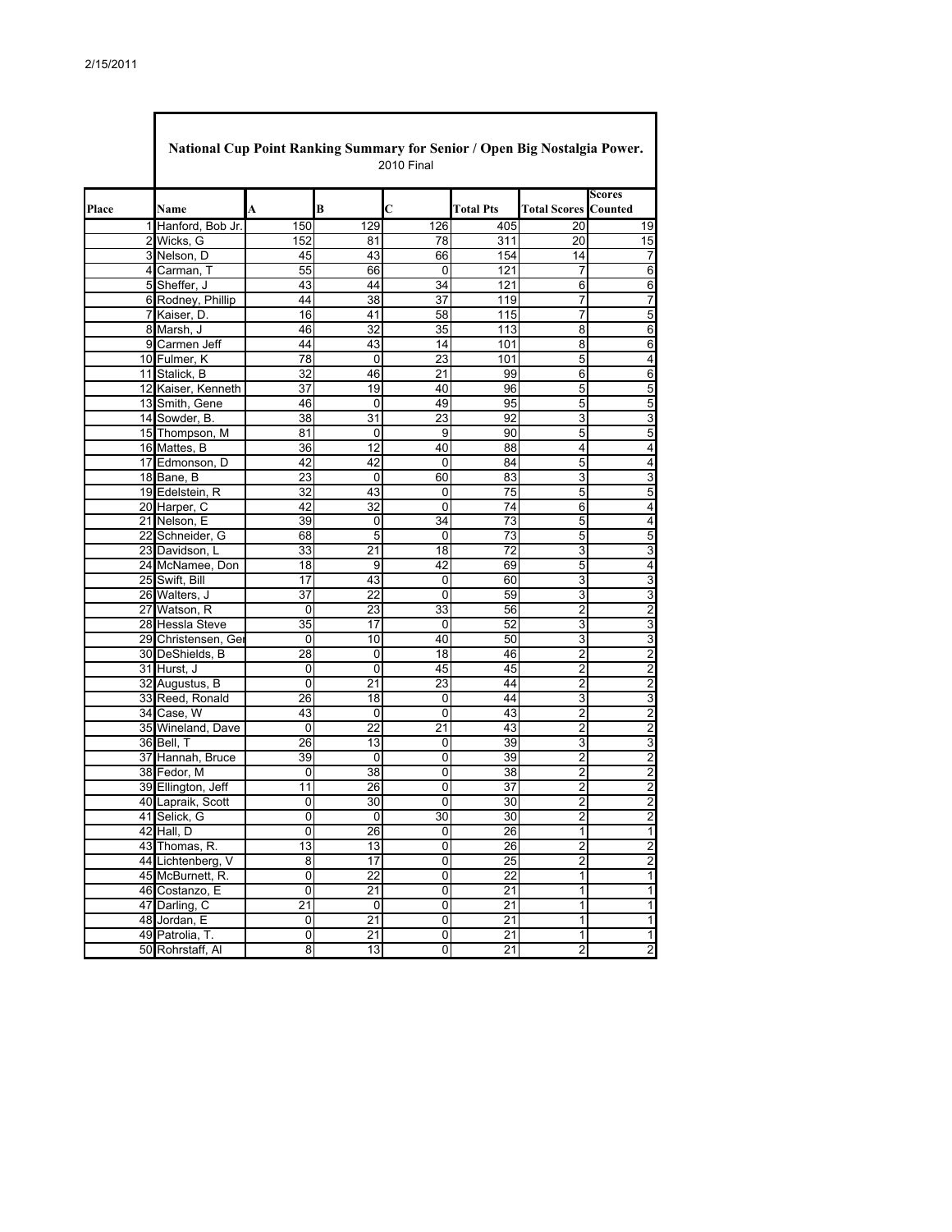|       |                     | National Cup Point Ranking Summary for Senior / Open Big Nostalgia Power.<br><b>2010 Final</b> |                 |                |                  |                             |                         |  |  |  |  |  |
|-------|---------------------|------------------------------------------------------------------------------------------------|-----------------|----------------|------------------|-----------------------------|-------------------------|--|--|--|--|--|
|       |                     |                                                                                                |                 |                |                  |                             | Scores                  |  |  |  |  |  |
| Place | Name                | A                                                                                              | B               | Ċ              | <b>Total Pts</b> | <b>Total Scores Counted</b> |                         |  |  |  |  |  |
|       | 1 Hanford, Bob Jr.  | 150                                                                                            | 129             | 126            | 405              | 20                          | 19                      |  |  |  |  |  |
|       | 2 Wicks, G          | 152                                                                                            | 81              | 78             | 311              | 20                          | 15                      |  |  |  |  |  |
|       | 3 Nelson, D         | 45                                                                                             | 43              | 66             | 154              | 14                          | 7                       |  |  |  |  |  |
|       | 4 Carman, T         | 55                                                                                             | 66              | 0              | 121              | 7                           | 6                       |  |  |  |  |  |
|       | 5 Sheffer, J        | 43                                                                                             | 44              | 34             | 121              | 6                           | 6                       |  |  |  |  |  |
|       | 6 Rodney, Phillip   | 44                                                                                             | 38              | 37             | 119              | 7                           | 7                       |  |  |  |  |  |
|       | 7 Kaiser, D.        | 16                                                                                             | 41              | 58             | 115              | 7                           | 5                       |  |  |  |  |  |
|       | 8 Marsh, J          | 46                                                                                             | 32              | 35             | 113              | 8                           | 6                       |  |  |  |  |  |
|       | 9 Carmen Jeff       | 44                                                                                             | 43              | 14             | 101              | 8                           | 6                       |  |  |  |  |  |
|       | 10 Fulmer, K        | 78                                                                                             | 0               | 23             | 101              | 5                           | 4                       |  |  |  |  |  |
|       | 11 Stalick, B       | 32                                                                                             | 46              | 21             | 99               | 6                           | 6                       |  |  |  |  |  |
|       | 12 Kaiser, Kenneth  | $\overline{37}$                                                                                | 19              | 40             | 96               | 5                           | 5                       |  |  |  |  |  |
|       | 13 Smith, Gene      | 46                                                                                             | 0               | 49             | 95               | 5                           | 5                       |  |  |  |  |  |
|       | 14 Sowder, B.       | 38                                                                                             | 31              | 23             | 92               | 3                           | 3                       |  |  |  |  |  |
|       | 15 Thompson, M      | 81                                                                                             | 0               | 9              | 90               | 5                           | 5                       |  |  |  |  |  |
|       | 16 Mattes, B        | 36                                                                                             | 12              | 40             | 88               | 4                           | 4                       |  |  |  |  |  |
|       | 17 Edmonson, D      | 42                                                                                             | 42              | $\Omega$       | 84               | 5                           | 4                       |  |  |  |  |  |
|       | 18 Bane, B          | 23                                                                                             | 0               | 60             | 83               | 3                           | 3                       |  |  |  |  |  |
|       | 19 Edelstein, R     | $\overline{32}$                                                                                | 43              | 0              | $\overline{75}$  | $\overline{5}$              | 5                       |  |  |  |  |  |
|       | 20 Harper, C        | 42                                                                                             | 32              | 0              | 74               | 6                           | 4                       |  |  |  |  |  |
|       | 21 Nelson, E        | 39                                                                                             | 0               | 34             | 73               | 5                           | 4                       |  |  |  |  |  |
|       | 22 Schneider, G     | 68                                                                                             | $\overline{5}$  | $\mathbf 0$    | 73               | $\overline{5}$              | 5                       |  |  |  |  |  |
|       | 23 Davidson, L      | 33                                                                                             | 21              | 18             | 72               | 3                           | 3                       |  |  |  |  |  |
|       | 24 McNamee, Don     | 18                                                                                             | 9               | 42             | 69               | 5                           | 4                       |  |  |  |  |  |
|       | 25 Swift, Bill      | 17                                                                                             | 43              | 0              | 60               | 3                           | 3                       |  |  |  |  |  |
|       | 26 Walters, J       | 37                                                                                             | 22              | 0              | 59               | 3                           | 3                       |  |  |  |  |  |
|       | 27 Watson, R        | 0                                                                                              | 23              | 33             | 56               | 2                           | $\overline{c}$          |  |  |  |  |  |
|       | 28 Hessla Steve     | 35                                                                                             | 17              | 0              | 52               | 3                           | 3                       |  |  |  |  |  |
|       | 29 Christensen, Ger | 0                                                                                              | 10              | 40             | 50               | 3                           | 3                       |  |  |  |  |  |
|       | 30 DeShields, B     | 28                                                                                             | 0               | 18             | 46               | 2                           | $\overline{c}$          |  |  |  |  |  |
|       | 31 Hurst, J         | 0                                                                                              | $\mathbf 0$     | 45             | 45               | $\overline{2}$              | $\overline{2}$          |  |  |  |  |  |
|       | 32 Augustus, B      | 0                                                                                              | 21              | 23             | 44               | 2                           | $\overline{\mathbf{c}}$ |  |  |  |  |  |
|       | 33 Reed, Ronald     | 26                                                                                             | 18              | 0              | 44               | 3                           | 3                       |  |  |  |  |  |
|       | 34 Case, W          | 43                                                                                             | 0               | $\mathbf 0$    | 43               | $\overline{2}$              | 2                       |  |  |  |  |  |
|       | 35 Wineland, Dave   | 0                                                                                              | 22              | 21             | 43               | $\overline{c}$              | $\overline{2}$          |  |  |  |  |  |
|       | 36 Bell, T          | 26                                                                                             | 13              | 0              | 39               | 3                           | 3                       |  |  |  |  |  |
|       | 37 Hannah, Bruce    | 39                                                                                             | 0               | 0              | 39               | $\overline{2}$              | $\overline{c}$          |  |  |  |  |  |
|       | 38 Fedor, M         | 0                                                                                              | 38              | 0              | 38               | $\overline{c}$              | $\overline{2}$          |  |  |  |  |  |
|       | 39 Ellington, Jeff  | 11                                                                                             | 26              | 0              | 37               | 2                           | $\overline{\mathbf{c}}$ |  |  |  |  |  |
|       | 40 Lapraik, Scott   | 0                                                                                              | 30              | 0              | 30               | $\overline{c}$              | $\overline{\mathbf{c}}$ |  |  |  |  |  |
|       | 41 Selick, G        | 0                                                                                              | 0               | 30             | 30               | $\overline{2}$              | $\overline{\mathbf{c}}$ |  |  |  |  |  |
|       | 42 Hall, D          | 0                                                                                              | 26              | 0              | 26               | $\mathbf{1}$                | 1                       |  |  |  |  |  |
|       | 43 Thomas, R.       | $\overline{13}$                                                                                | 13              | $\overline{0}$ | 26               | $\overline{2}$              | $\overline{2}$          |  |  |  |  |  |
|       | 44 Lichtenberg, V   | 8                                                                                              | 17              | 0              | $\overline{25}$  | $\overline{2}$              | $\overline{\mathbf{c}}$ |  |  |  |  |  |
|       | 45 McBurnett, R.    | 0                                                                                              | 22              | 0              | 22               | $\mathbf{1}$                | 1                       |  |  |  |  |  |
|       | 46 Costanzo, E      | $\overline{0}$                                                                                 | 21              | $\overline{0}$ | 21               | 1                           | $\mathbf{1}$            |  |  |  |  |  |
|       | 47 Darling, C       | 21                                                                                             | $\pmb{0}$       | 0              | 21               | $\overline{1}$              | 1                       |  |  |  |  |  |
|       | 48 Jordan, E        | 0                                                                                              | $\overline{21}$ | 0              | $\overline{21}$  | 1                           | 1                       |  |  |  |  |  |
|       | 49 Patrolia, T.     | 0                                                                                              | 21              | 0              | 21               | 1                           | 1                       |  |  |  |  |  |
|       | 50 Rohrstaff, Al    | 8                                                                                              | 13              | 0              | 21               | $\overline{2}$              | $\overline{2}$          |  |  |  |  |  |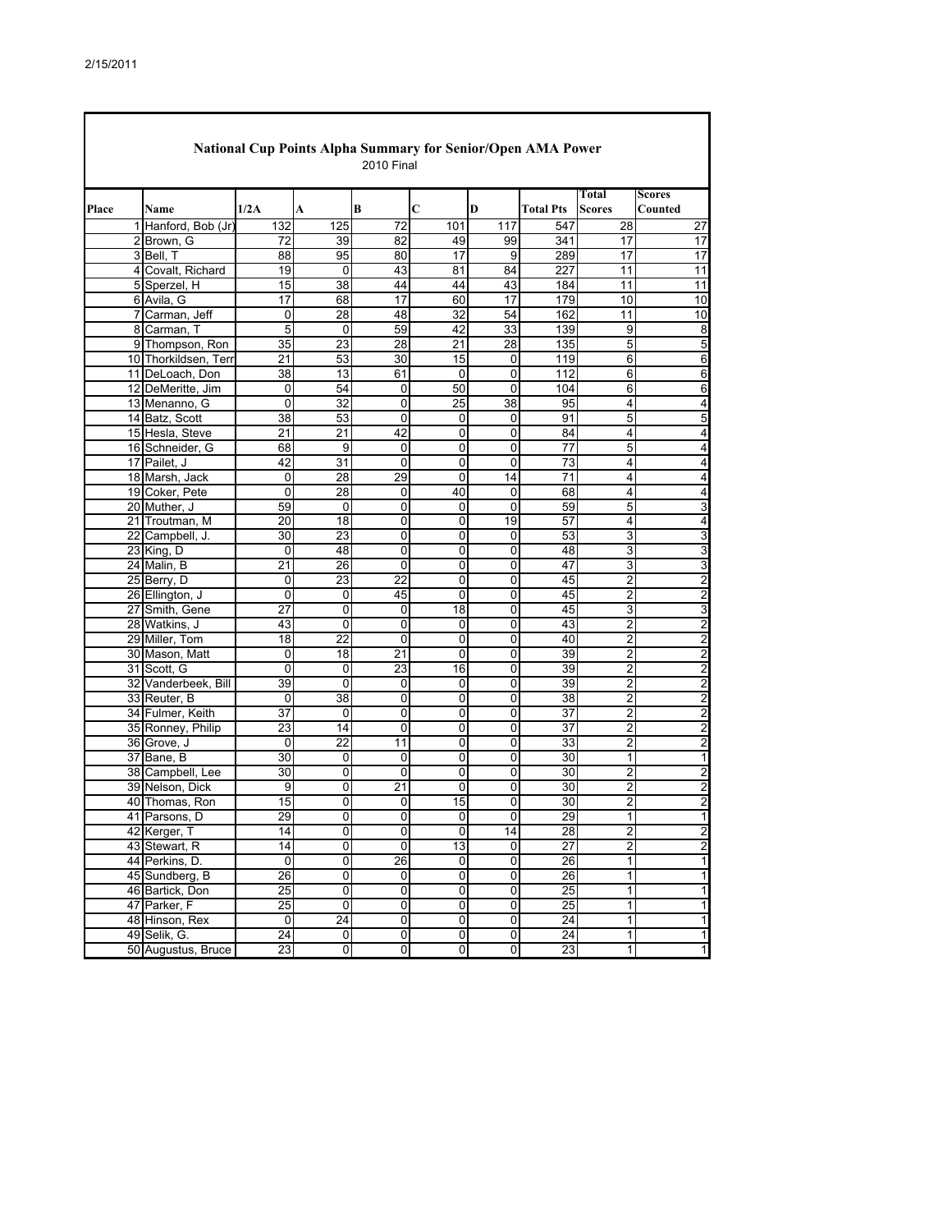| Total<br><b>Scores</b><br>1/2A<br>B<br>С<br>D<br><b>Scores</b><br>Counted<br>Name<br>A<br><b>Total Pts</b><br>1 Hanford, Bob (Jr<br>132<br>125<br>72<br>101<br>28<br>117<br>547<br>99<br>2 Brown, G<br>39<br>82<br>341<br>17<br>72<br>49<br>17<br>95<br>17<br>3 Bell, T<br>88<br>80<br>17<br>9<br>289<br>17<br>4 Covalt, Richard<br>19<br>0<br>43<br>81<br>84<br>227<br>11<br>15<br>38<br>44<br>44<br>43<br>11<br>11<br>5 Sperzel, H<br>184<br>17<br>60<br>17<br>179<br>17<br>68<br>10<br>6 Avila, G<br>28<br>32<br>54<br>11<br>7 Carman, Jeff<br>0<br>48<br>162<br>5<br>59<br>33<br>8 Carman, T<br>42<br>139<br>9<br>0<br>35<br>23<br>28<br>5<br>28<br>21<br>135<br>9 Thompson, Ron<br>10 Thorkildsen, Terr<br>21<br>53<br>30<br>15<br>119<br>6<br>0<br>13<br>11 DeLoach, Don<br>38<br>61<br>$\mathbf 0$<br>0<br>112<br>6<br>54<br>12 DeMeritte, Jim<br>0<br>50<br>0<br>104<br>6<br>0<br>6<br>$\overline{32}$<br>$\overline{25}$<br>13 Menanno, G<br>0<br>38<br>0<br>95<br>4<br>14 Batz, Scott<br>38<br>53<br>0<br>0<br>0<br>91<br>5<br>5<br>21<br>21<br>15 Hesla, Steve<br>42<br>0<br>0<br>84<br>4<br>4<br>9<br>5<br>68<br>$\mathbf 0$<br>$\mathbf 0$<br>77<br>16 Schneider, G<br>0<br>17 Pailet, J<br>42<br>31<br>$\mathbf 0$<br>$\mathbf 0$<br>0<br>73<br>4<br>28<br>29<br>$\overline{71}$<br>18 Marsh, Jack<br>0<br>0<br>14<br>4<br>19 Coker, Pete<br>28<br>40<br>0<br>0<br>0<br>68<br>4<br>59<br>3<br>20 Muther, J<br>0<br>0<br>0<br>0<br>59<br>5<br>$\overline{18}$<br>57<br>20<br>$\mathbf 0$<br>0<br>19<br>21 Troutman, M<br>4<br>4<br>22 Campbell, J.<br>30<br>23<br>0<br>0<br>0<br>53<br>3<br>3<br>23 King, D<br>$\Omega$<br>48<br>0<br>$\mathbf 0$<br>0<br>48<br>3<br>$\overline{21}$<br>24 Malin, B<br>26<br>$\mathbf 0$<br>0<br>0<br>47<br>3<br>3<br>23<br>22<br>2<br>25 Berry, D<br>0<br>0<br>45<br>0<br>26 Ellington, J<br>0<br>45<br>0<br>45<br>2<br>$\overline{2}$<br>0<br>0<br>27<br>0<br>18<br>3<br>27 Smith, Gene<br>0<br>0<br>45<br>3<br>$\overline{2}$<br>28 Watkins, J<br>43<br>0<br>43<br>$\overline{2}$<br>0<br>0<br>0<br>29 Miller, Tom<br>18<br>22<br>0<br>0<br>40<br>2<br>$\overline{2}$<br>0<br>$\overline{c}$<br>30 Mason, Matt<br>18<br>21<br>0<br>39<br>$\overline{2}$<br>0<br>0<br>23<br>31 Scott, G<br>$\mathbf 0$<br>16<br>39<br>2<br>0<br>0<br>2<br>32 Vanderbeek, Bill<br>39<br>39<br>$\overline{2}$<br>0<br>0<br>2<br>0<br>0<br>38<br>$\overline{2}$<br>0<br>$\mathbf 0$<br>0<br>0<br>38<br>$\overline{2}$<br>33 Reuter, B<br>2<br>34 Fulmer, Keith<br>37<br>0<br>0<br>0<br>0<br>37<br>2<br>23<br>$\overline{37}$<br>$\overline{2}$<br>14<br>0<br>$\mathbf 0$<br>0<br>35 Ronney, Philip<br>$\overline{22}$<br>$\overline{c}$<br>0<br>11<br>0<br>0<br>33<br>$\overline{c}$<br>36 Grove, J<br>37 Bane, B<br>30<br>0<br>0<br>0<br>0<br>30<br>1<br>30<br>30<br>2<br>38 Campbell, Lee<br>0<br>0<br>0<br>0<br>$\overline{c}$<br>0<br>21<br>2<br>39 Nelson, Dick<br>9<br>0<br>0<br>30<br>15<br>$\overline{c}$<br>0<br>15<br>30<br>$\overline{c}$<br>40 Thomas, Ron<br>0<br>0<br>29<br>41 Parsons, D<br>29<br>0<br>$\Omega$<br>$\Omega$<br>$\Omega$<br>1<br>$\overline{2}$<br>42 Kerger, T<br>14<br>0<br>0<br>0<br>14<br>28<br>$\overline{c}$<br>$\overline{2}$<br>0<br>13<br>$\overline{27}$<br>43 Stewart, R<br>14<br>0<br>0<br>44 Perkins, D.<br>0<br>26<br>$\pmb{0}$<br>26<br>1<br>0<br>0<br>1<br>$\overline{26}$<br>$\overline{0}$<br>$\overline{0}$<br>$\overline{0}$<br>$\overline{26}$<br>45 Sundberg, B<br>0<br>1<br>$\overline{0}$<br>25<br>$\pmb{0}$<br>$\pmb{0}$<br>0<br>25<br>1<br>46 Bartick, Don<br>$\overline{25}$<br>0<br>$\overline{0}$<br>$\overline{0}$<br>$\overline{25}$<br>47 Parker, F<br>0<br>1<br>$\overline{24}$<br>$\overline{0}$<br>$\overline{0}$<br>$\overline{\mathbf{0}}$<br>$\overline{24}$<br>$\mathbf{1}$<br>0<br>48 Hinson, Rex<br>24<br>49 Selik, G.<br>24<br>$\pmb{0}$<br>$\pmb{0}$<br>$\pmb{0}$<br>$\pmb{0}$<br>1<br>50 Augustus, Bruce<br>23<br>$\overline{0}$<br>$\overline{0}$<br>0<br>$\overline{23}$<br>1<br>0 | National Cup Points Alpha Summary for Senior/Open AMA Power<br><b>2010 Final</b> |  |  |  |  |  |  |  |  |                |  |  |
|--------------------------------------------------------------------------------------------------------------------------------------------------------------------------------------------------------------------------------------------------------------------------------------------------------------------------------------------------------------------------------------------------------------------------------------------------------------------------------------------------------------------------------------------------------------------------------------------------------------------------------------------------------------------------------------------------------------------------------------------------------------------------------------------------------------------------------------------------------------------------------------------------------------------------------------------------------------------------------------------------------------------------------------------------------------------------------------------------------------------------------------------------------------------------------------------------------------------------------------------------------------------------------------------------------------------------------------------------------------------------------------------------------------------------------------------------------------------------------------------------------------------------------------------------------------------------------------------------------------------------------------------------------------------------------------------------------------------------------------------------------------------------------------------------------------------------------------------------------------------------------------------------------------------------------------------------------------------------------------------------------------------------------------------------------------------------------------------------------------------------------------------------------------------------------------------------------------------------------------------------------------------------------------------------------------------------------------------------------------------------------------------------------------------------------------------------------------------------------------------------------------------------------------------------------------------------------------------------------------------------------------------------------------------------------------------------------------------------------------------------------------------------------------------------------------------------------------------------------------------------------------------------------------------------------------------------------------------------------------------------------------------------------------------------------------------------------------------------------------------------------------------------------------------------------------------------------------------------------------------------------------------------------------------------------------------------------------------------------------------------------------------------------------------------------------------------------------------------------------------------------------------------------------------------------------------------------------------------------------------------------------------------------------------------------------------------------------------------------------------------------------------------------------------------------------------------------------------------------------------------------------------------------------------------------------------------------------------------------------------|----------------------------------------------------------------------------------|--|--|--|--|--|--|--|--|----------------|--|--|
|                                                                                                                                                                                                                                                                                                                                                                                                                                                                                                                                                                                                                                                                                                                                                                                                                                                                                                                                                                                                                                                                                                                                                                                                                                                                                                                                                                                                                                                                                                                                                                                                                                                                                                                                                                                                                                                                                                                                                                                                                                                                                                                                                                                                                                                                                                                                                                                                                                                                                                                                                                                                                                                                                                                                                                                                                                                                                                                                                                                                                                                                                                                                                                                                                                                                                                                                                                                                                                                                                                                                                                                                                                                                                                                                                                                                                                                                                                                                                                                            | Place                                                                            |  |  |  |  |  |  |  |  |                |  |  |
|                                                                                                                                                                                                                                                                                                                                                                                                                                                                                                                                                                                                                                                                                                                                                                                                                                                                                                                                                                                                                                                                                                                                                                                                                                                                                                                                                                                                                                                                                                                                                                                                                                                                                                                                                                                                                                                                                                                                                                                                                                                                                                                                                                                                                                                                                                                                                                                                                                                                                                                                                                                                                                                                                                                                                                                                                                                                                                                                                                                                                                                                                                                                                                                                                                                                                                                                                                                                                                                                                                                                                                                                                                                                                                                                                                                                                                                                                                                                                                                            |                                                                                  |  |  |  |  |  |  |  |  | 27             |  |  |
|                                                                                                                                                                                                                                                                                                                                                                                                                                                                                                                                                                                                                                                                                                                                                                                                                                                                                                                                                                                                                                                                                                                                                                                                                                                                                                                                                                                                                                                                                                                                                                                                                                                                                                                                                                                                                                                                                                                                                                                                                                                                                                                                                                                                                                                                                                                                                                                                                                                                                                                                                                                                                                                                                                                                                                                                                                                                                                                                                                                                                                                                                                                                                                                                                                                                                                                                                                                                                                                                                                                                                                                                                                                                                                                                                                                                                                                                                                                                                                                            |                                                                                  |  |  |  |  |  |  |  |  |                |  |  |
|                                                                                                                                                                                                                                                                                                                                                                                                                                                                                                                                                                                                                                                                                                                                                                                                                                                                                                                                                                                                                                                                                                                                                                                                                                                                                                                                                                                                                                                                                                                                                                                                                                                                                                                                                                                                                                                                                                                                                                                                                                                                                                                                                                                                                                                                                                                                                                                                                                                                                                                                                                                                                                                                                                                                                                                                                                                                                                                                                                                                                                                                                                                                                                                                                                                                                                                                                                                                                                                                                                                                                                                                                                                                                                                                                                                                                                                                                                                                                                                            |                                                                                  |  |  |  |  |  |  |  |  |                |  |  |
|                                                                                                                                                                                                                                                                                                                                                                                                                                                                                                                                                                                                                                                                                                                                                                                                                                                                                                                                                                                                                                                                                                                                                                                                                                                                                                                                                                                                                                                                                                                                                                                                                                                                                                                                                                                                                                                                                                                                                                                                                                                                                                                                                                                                                                                                                                                                                                                                                                                                                                                                                                                                                                                                                                                                                                                                                                                                                                                                                                                                                                                                                                                                                                                                                                                                                                                                                                                                                                                                                                                                                                                                                                                                                                                                                                                                                                                                                                                                                                                            |                                                                                  |  |  |  |  |  |  |  |  | 11             |  |  |
|                                                                                                                                                                                                                                                                                                                                                                                                                                                                                                                                                                                                                                                                                                                                                                                                                                                                                                                                                                                                                                                                                                                                                                                                                                                                                                                                                                                                                                                                                                                                                                                                                                                                                                                                                                                                                                                                                                                                                                                                                                                                                                                                                                                                                                                                                                                                                                                                                                                                                                                                                                                                                                                                                                                                                                                                                                                                                                                                                                                                                                                                                                                                                                                                                                                                                                                                                                                                                                                                                                                                                                                                                                                                                                                                                                                                                                                                                                                                                                                            |                                                                                  |  |  |  |  |  |  |  |  |                |  |  |
|                                                                                                                                                                                                                                                                                                                                                                                                                                                                                                                                                                                                                                                                                                                                                                                                                                                                                                                                                                                                                                                                                                                                                                                                                                                                                                                                                                                                                                                                                                                                                                                                                                                                                                                                                                                                                                                                                                                                                                                                                                                                                                                                                                                                                                                                                                                                                                                                                                                                                                                                                                                                                                                                                                                                                                                                                                                                                                                                                                                                                                                                                                                                                                                                                                                                                                                                                                                                                                                                                                                                                                                                                                                                                                                                                                                                                                                                                                                                                                                            |                                                                                  |  |  |  |  |  |  |  |  | 10             |  |  |
|                                                                                                                                                                                                                                                                                                                                                                                                                                                                                                                                                                                                                                                                                                                                                                                                                                                                                                                                                                                                                                                                                                                                                                                                                                                                                                                                                                                                                                                                                                                                                                                                                                                                                                                                                                                                                                                                                                                                                                                                                                                                                                                                                                                                                                                                                                                                                                                                                                                                                                                                                                                                                                                                                                                                                                                                                                                                                                                                                                                                                                                                                                                                                                                                                                                                                                                                                                                                                                                                                                                                                                                                                                                                                                                                                                                                                                                                                                                                                                                            |                                                                                  |  |  |  |  |  |  |  |  | 10             |  |  |
|                                                                                                                                                                                                                                                                                                                                                                                                                                                                                                                                                                                                                                                                                                                                                                                                                                                                                                                                                                                                                                                                                                                                                                                                                                                                                                                                                                                                                                                                                                                                                                                                                                                                                                                                                                                                                                                                                                                                                                                                                                                                                                                                                                                                                                                                                                                                                                                                                                                                                                                                                                                                                                                                                                                                                                                                                                                                                                                                                                                                                                                                                                                                                                                                                                                                                                                                                                                                                                                                                                                                                                                                                                                                                                                                                                                                                                                                                                                                                                                            |                                                                                  |  |  |  |  |  |  |  |  | 8              |  |  |
|                                                                                                                                                                                                                                                                                                                                                                                                                                                                                                                                                                                                                                                                                                                                                                                                                                                                                                                                                                                                                                                                                                                                                                                                                                                                                                                                                                                                                                                                                                                                                                                                                                                                                                                                                                                                                                                                                                                                                                                                                                                                                                                                                                                                                                                                                                                                                                                                                                                                                                                                                                                                                                                                                                                                                                                                                                                                                                                                                                                                                                                                                                                                                                                                                                                                                                                                                                                                                                                                                                                                                                                                                                                                                                                                                                                                                                                                                                                                                                                            |                                                                                  |  |  |  |  |  |  |  |  | 5              |  |  |
|                                                                                                                                                                                                                                                                                                                                                                                                                                                                                                                                                                                                                                                                                                                                                                                                                                                                                                                                                                                                                                                                                                                                                                                                                                                                                                                                                                                                                                                                                                                                                                                                                                                                                                                                                                                                                                                                                                                                                                                                                                                                                                                                                                                                                                                                                                                                                                                                                                                                                                                                                                                                                                                                                                                                                                                                                                                                                                                                                                                                                                                                                                                                                                                                                                                                                                                                                                                                                                                                                                                                                                                                                                                                                                                                                                                                                                                                                                                                                                                            |                                                                                  |  |  |  |  |  |  |  |  | 6              |  |  |
|                                                                                                                                                                                                                                                                                                                                                                                                                                                                                                                                                                                                                                                                                                                                                                                                                                                                                                                                                                                                                                                                                                                                                                                                                                                                                                                                                                                                                                                                                                                                                                                                                                                                                                                                                                                                                                                                                                                                                                                                                                                                                                                                                                                                                                                                                                                                                                                                                                                                                                                                                                                                                                                                                                                                                                                                                                                                                                                                                                                                                                                                                                                                                                                                                                                                                                                                                                                                                                                                                                                                                                                                                                                                                                                                                                                                                                                                                                                                                                                            |                                                                                  |  |  |  |  |  |  |  |  | 6              |  |  |
|                                                                                                                                                                                                                                                                                                                                                                                                                                                                                                                                                                                                                                                                                                                                                                                                                                                                                                                                                                                                                                                                                                                                                                                                                                                                                                                                                                                                                                                                                                                                                                                                                                                                                                                                                                                                                                                                                                                                                                                                                                                                                                                                                                                                                                                                                                                                                                                                                                                                                                                                                                                                                                                                                                                                                                                                                                                                                                                                                                                                                                                                                                                                                                                                                                                                                                                                                                                                                                                                                                                                                                                                                                                                                                                                                                                                                                                                                                                                                                                            |                                                                                  |  |  |  |  |  |  |  |  |                |  |  |
|                                                                                                                                                                                                                                                                                                                                                                                                                                                                                                                                                                                                                                                                                                                                                                                                                                                                                                                                                                                                                                                                                                                                                                                                                                                                                                                                                                                                                                                                                                                                                                                                                                                                                                                                                                                                                                                                                                                                                                                                                                                                                                                                                                                                                                                                                                                                                                                                                                                                                                                                                                                                                                                                                                                                                                                                                                                                                                                                                                                                                                                                                                                                                                                                                                                                                                                                                                                                                                                                                                                                                                                                                                                                                                                                                                                                                                                                                                                                                                                            |                                                                                  |  |  |  |  |  |  |  |  | 4              |  |  |
|                                                                                                                                                                                                                                                                                                                                                                                                                                                                                                                                                                                                                                                                                                                                                                                                                                                                                                                                                                                                                                                                                                                                                                                                                                                                                                                                                                                                                                                                                                                                                                                                                                                                                                                                                                                                                                                                                                                                                                                                                                                                                                                                                                                                                                                                                                                                                                                                                                                                                                                                                                                                                                                                                                                                                                                                                                                                                                                                                                                                                                                                                                                                                                                                                                                                                                                                                                                                                                                                                                                                                                                                                                                                                                                                                                                                                                                                                                                                                                                            |                                                                                  |  |  |  |  |  |  |  |  |                |  |  |
|                                                                                                                                                                                                                                                                                                                                                                                                                                                                                                                                                                                                                                                                                                                                                                                                                                                                                                                                                                                                                                                                                                                                                                                                                                                                                                                                                                                                                                                                                                                                                                                                                                                                                                                                                                                                                                                                                                                                                                                                                                                                                                                                                                                                                                                                                                                                                                                                                                                                                                                                                                                                                                                                                                                                                                                                                                                                                                                                                                                                                                                                                                                                                                                                                                                                                                                                                                                                                                                                                                                                                                                                                                                                                                                                                                                                                                                                                                                                                                                            |                                                                                  |  |  |  |  |  |  |  |  |                |  |  |
|                                                                                                                                                                                                                                                                                                                                                                                                                                                                                                                                                                                                                                                                                                                                                                                                                                                                                                                                                                                                                                                                                                                                                                                                                                                                                                                                                                                                                                                                                                                                                                                                                                                                                                                                                                                                                                                                                                                                                                                                                                                                                                                                                                                                                                                                                                                                                                                                                                                                                                                                                                                                                                                                                                                                                                                                                                                                                                                                                                                                                                                                                                                                                                                                                                                                                                                                                                                                                                                                                                                                                                                                                                                                                                                                                                                                                                                                                                                                                                                            |                                                                                  |  |  |  |  |  |  |  |  | 4              |  |  |
|                                                                                                                                                                                                                                                                                                                                                                                                                                                                                                                                                                                                                                                                                                                                                                                                                                                                                                                                                                                                                                                                                                                                                                                                                                                                                                                                                                                                                                                                                                                                                                                                                                                                                                                                                                                                                                                                                                                                                                                                                                                                                                                                                                                                                                                                                                                                                                                                                                                                                                                                                                                                                                                                                                                                                                                                                                                                                                                                                                                                                                                                                                                                                                                                                                                                                                                                                                                                                                                                                                                                                                                                                                                                                                                                                                                                                                                                                                                                                                                            |                                                                                  |  |  |  |  |  |  |  |  | 4              |  |  |
|                                                                                                                                                                                                                                                                                                                                                                                                                                                                                                                                                                                                                                                                                                                                                                                                                                                                                                                                                                                                                                                                                                                                                                                                                                                                                                                                                                                                                                                                                                                                                                                                                                                                                                                                                                                                                                                                                                                                                                                                                                                                                                                                                                                                                                                                                                                                                                                                                                                                                                                                                                                                                                                                                                                                                                                                                                                                                                                                                                                                                                                                                                                                                                                                                                                                                                                                                                                                                                                                                                                                                                                                                                                                                                                                                                                                                                                                                                                                                                                            |                                                                                  |  |  |  |  |  |  |  |  | 4              |  |  |
|                                                                                                                                                                                                                                                                                                                                                                                                                                                                                                                                                                                                                                                                                                                                                                                                                                                                                                                                                                                                                                                                                                                                                                                                                                                                                                                                                                                                                                                                                                                                                                                                                                                                                                                                                                                                                                                                                                                                                                                                                                                                                                                                                                                                                                                                                                                                                                                                                                                                                                                                                                                                                                                                                                                                                                                                                                                                                                                                                                                                                                                                                                                                                                                                                                                                                                                                                                                                                                                                                                                                                                                                                                                                                                                                                                                                                                                                                                                                                                                            |                                                                                  |  |  |  |  |  |  |  |  | 4              |  |  |
|                                                                                                                                                                                                                                                                                                                                                                                                                                                                                                                                                                                                                                                                                                                                                                                                                                                                                                                                                                                                                                                                                                                                                                                                                                                                                                                                                                                                                                                                                                                                                                                                                                                                                                                                                                                                                                                                                                                                                                                                                                                                                                                                                                                                                                                                                                                                                                                                                                                                                                                                                                                                                                                                                                                                                                                                                                                                                                                                                                                                                                                                                                                                                                                                                                                                                                                                                                                                                                                                                                                                                                                                                                                                                                                                                                                                                                                                                                                                                                                            |                                                                                  |  |  |  |  |  |  |  |  |                |  |  |
|                                                                                                                                                                                                                                                                                                                                                                                                                                                                                                                                                                                                                                                                                                                                                                                                                                                                                                                                                                                                                                                                                                                                                                                                                                                                                                                                                                                                                                                                                                                                                                                                                                                                                                                                                                                                                                                                                                                                                                                                                                                                                                                                                                                                                                                                                                                                                                                                                                                                                                                                                                                                                                                                                                                                                                                                                                                                                                                                                                                                                                                                                                                                                                                                                                                                                                                                                                                                                                                                                                                                                                                                                                                                                                                                                                                                                                                                                                                                                                                            |                                                                                  |  |  |  |  |  |  |  |  |                |  |  |
|                                                                                                                                                                                                                                                                                                                                                                                                                                                                                                                                                                                                                                                                                                                                                                                                                                                                                                                                                                                                                                                                                                                                                                                                                                                                                                                                                                                                                                                                                                                                                                                                                                                                                                                                                                                                                                                                                                                                                                                                                                                                                                                                                                                                                                                                                                                                                                                                                                                                                                                                                                                                                                                                                                                                                                                                                                                                                                                                                                                                                                                                                                                                                                                                                                                                                                                                                                                                                                                                                                                                                                                                                                                                                                                                                                                                                                                                                                                                                                                            |                                                                                  |  |  |  |  |  |  |  |  | 3              |  |  |
|                                                                                                                                                                                                                                                                                                                                                                                                                                                                                                                                                                                                                                                                                                                                                                                                                                                                                                                                                                                                                                                                                                                                                                                                                                                                                                                                                                                                                                                                                                                                                                                                                                                                                                                                                                                                                                                                                                                                                                                                                                                                                                                                                                                                                                                                                                                                                                                                                                                                                                                                                                                                                                                                                                                                                                                                                                                                                                                                                                                                                                                                                                                                                                                                                                                                                                                                                                                                                                                                                                                                                                                                                                                                                                                                                                                                                                                                                                                                                                                            |                                                                                  |  |  |  |  |  |  |  |  |                |  |  |
|                                                                                                                                                                                                                                                                                                                                                                                                                                                                                                                                                                                                                                                                                                                                                                                                                                                                                                                                                                                                                                                                                                                                                                                                                                                                                                                                                                                                                                                                                                                                                                                                                                                                                                                                                                                                                                                                                                                                                                                                                                                                                                                                                                                                                                                                                                                                                                                                                                                                                                                                                                                                                                                                                                                                                                                                                                                                                                                                                                                                                                                                                                                                                                                                                                                                                                                                                                                                                                                                                                                                                                                                                                                                                                                                                                                                                                                                                                                                                                                            |                                                                                  |  |  |  |  |  |  |  |  |                |  |  |
|                                                                                                                                                                                                                                                                                                                                                                                                                                                                                                                                                                                                                                                                                                                                                                                                                                                                                                                                                                                                                                                                                                                                                                                                                                                                                                                                                                                                                                                                                                                                                                                                                                                                                                                                                                                                                                                                                                                                                                                                                                                                                                                                                                                                                                                                                                                                                                                                                                                                                                                                                                                                                                                                                                                                                                                                                                                                                                                                                                                                                                                                                                                                                                                                                                                                                                                                                                                                                                                                                                                                                                                                                                                                                                                                                                                                                                                                                                                                                                                            |                                                                                  |  |  |  |  |  |  |  |  | 2              |  |  |
|                                                                                                                                                                                                                                                                                                                                                                                                                                                                                                                                                                                                                                                                                                                                                                                                                                                                                                                                                                                                                                                                                                                                                                                                                                                                                                                                                                                                                                                                                                                                                                                                                                                                                                                                                                                                                                                                                                                                                                                                                                                                                                                                                                                                                                                                                                                                                                                                                                                                                                                                                                                                                                                                                                                                                                                                                                                                                                                                                                                                                                                                                                                                                                                                                                                                                                                                                                                                                                                                                                                                                                                                                                                                                                                                                                                                                                                                                                                                                                                            |                                                                                  |  |  |  |  |  |  |  |  |                |  |  |
|                                                                                                                                                                                                                                                                                                                                                                                                                                                                                                                                                                                                                                                                                                                                                                                                                                                                                                                                                                                                                                                                                                                                                                                                                                                                                                                                                                                                                                                                                                                                                                                                                                                                                                                                                                                                                                                                                                                                                                                                                                                                                                                                                                                                                                                                                                                                                                                                                                                                                                                                                                                                                                                                                                                                                                                                                                                                                                                                                                                                                                                                                                                                                                                                                                                                                                                                                                                                                                                                                                                                                                                                                                                                                                                                                                                                                                                                                                                                                                                            |                                                                                  |  |  |  |  |  |  |  |  |                |  |  |
|                                                                                                                                                                                                                                                                                                                                                                                                                                                                                                                                                                                                                                                                                                                                                                                                                                                                                                                                                                                                                                                                                                                                                                                                                                                                                                                                                                                                                                                                                                                                                                                                                                                                                                                                                                                                                                                                                                                                                                                                                                                                                                                                                                                                                                                                                                                                                                                                                                                                                                                                                                                                                                                                                                                                                                                                                                                                                                                                                                                                                                                                                                                                                                                                                                                                                                                                                                                                                                                                                                                                                                                                                                                                                                                                                                                                                                                                                                                                                                                            |                                                                                  |  |  |  |  |  |  |  |  |                |  |  |
|                                                                                                                                                                                                                                                                                                                                                                                                                                                                                                                                                                                                                                                                                                                                                                                                                                                                                                                                                                                                                                                                                                                                                                                                                                                                                                                                                                                                                                                                                                                                                                                                                                                                                                                                                                                                                                                                                                                                                                                                                                                                                                                                                                                                                                                                                                                                                                                                                                                                                                                                                                                                                                                                                                                                                                                                                                                                                                                                                                                                                                                                                                                                                                                                                                                                                                                                                                                                                                                                                                                                                                                                                                                                                                                                                                                                                                                                                                                                                                                            |                                                                                  |  |  |  |  |  |  |  |  |                |  |  |
|                                                                                                                                                                                                                                                                                                                                                                                                                                                                                                                                                                                                                                                                                                                                                                                                                                                                                                                                                                                                                                                                                                                                                                                                                                                                                                                                                                                                                                                                                                                                                                                                                                                                                                                                                                                                                                                                                                                                                                                                                                                                                                                                                                                                                                                                                                                                                                                                                                                                                                                                                                                                                                                                                                                                                                                                                                                                                                                                                                                                                                                                                                                                                                                                                                                                                                                                                                                                                                                                                                                                                                                                                                                                                                                                                                                                                                                                                                                                                                                            |                                                                                  |  |  |  |  |  |  |  |  |                |  |  |
|                                                                                                                                                                                                                                                                                                                                                                                                                                                                                                                                                                                                                                                                                                                                                                                                                                                                                                                                                                                                                                                                                                                                                                                                                                                                                                                                                                                                                                                                                                                                                                                                                                                                                                                                                                                                                                                                                                                                                                                                                                                                                                                                                                                                                                                                                                                                                                                                                                                                                                                                                                                                                                                                                                                                                                                                                                                                                                                                                                                                                                                                                                                                                                                                                                                                                                                                                                                                                                                                                                                                                                                                                                                                                                                                                                                                                                                                                                                                                                                            |                                                                                  |  |  |  |  |  |  |  |  |                |  |  |
|                                                                                                                                                                                                                                                                                                                                                                                                                                                                                                                                                                                                                                                                                                                                                                                                                                                                                                                                                                                                                                                                                                                                                                                                                                                                                                                                                                                                                                                                                                                                                                                                                                                                                                                                                                                                                                                                                                                                                                                                                                                                                                                                                                                                                                                                                                                                                                                                                                                                                                                                                                                                                                                                                                                                                                                                                                                                                                                                                                                                                                                                                                                                                                                                                                                                                                                                                                                                                                                                                                                                                                                                                                                                                                                                                                                                                                                                                                                                                                                            |                                                                                  |  |  |  |  |  |  |  |  |                |  |  |
|                                                                                                                                                                                                                                                                                                                                                                                                                                                                                                                                                                                                                                                                                                                                                                                                                                                                                                                                                                                                                                                                                                                                                                                                                                                                                                                                                                                                                                                                                                                                                                                                                                                                                                                                                                                                                                                                                                                                                                                                                                                                                                                                                                                                                                                                                                                                                                                                                                                                                                                                                                                                                                                                                                                                                                                                                                                                                                                                                                                                                                                                                                                                                                                                                                                                                                                                                                                                                                                                                                                                                                                                                                                                                                                                                                                                                                                                                                                                                                                            |                                                                                  |  |  |  |  |  |  |  |  |                |  |  |
|                                                                                                                                                                                                                                                                                                                                                                                                                                                                                                                                                                                                                                                                                                                                                                                                                                                                                                                                                                                                                                                                                                                                                                                                                                                                                                                                                                                                                                                                                                                                                                                                                                                                                                                                                                                                                                                                                                                                                                                                                                                                                                                                                                                                                                                                                                                                                                                                                                                                                                                                                                                                                                                                                                                                                                                                                                                                                                                                                                                                                                                                                                                                                                                                                                                                                                                                                                                                                                                                                                                                                                                                                                                                                                                                                                                                                                                                                                                                                                                            |                                                                                  |  |  |  |  |  |  |  |  |                |  |  |
|                                                                                                                                                                                                                                                                                                                                                                                                                                                                                                                                                                                                                                                                                                                                                                                                                                                                                                                                                                                                                                                                                                                                                                                                                                                                                                                                                                                                                                                                                                                                                                                                                                                                                                                                                                                                                                                                                                                                                                                                                                                                                                                                                                                                                                                                                                                                                                                                                                                                                                                                                                                                                                                                                                                                                                                                                                                                                                                                                                                                                                                                                                                                                                                                                                                                                                                                                                                                                                                                                                                                                                                                                                                                                                                                                                                                                                                                                                                                                                                            |                                                                                  |  |  |  |  |  |  |  |  | $\overline{2}$ |  |  |
|                                                                                                                                                                                                                                                                                                                                                                                                                                                                                                                                                                                                                                                                                                                                                                                                                                                                                                                                                                                                                                                                                                                                                                                                                                                                                                                                                                                                                                                                                                                                                                                                                                                                                                                                                                                                                                                                                                                                                                                                                                                                                                                                                                                                                                                                                                                                                                                                                                                                                                                                                                                                                                                                                                                                                                                                                                                                                                                                                                                                                                                                                                                                                                                                                                                                                                                                                                                                                                                                                                                                                                                                                                                                                                                                                                                                                                                                                                                                                                                            |                                                                                  |  |  |  |  |  |  |  |  |                |  |  |
|                                                                                                                                                                                                                                                                                                                                                                                                                                                                                                                                                                                                                                                                                                                                                                                                                                                                                                                                                                                                                                                                                                                                                                                                                                                                                                                                                                                                                                                                                                                                                                                                                                                                                                                                                                                                                                                                                                                                                                                                                                                                                                                                                                                                                                                                                                                                                                                                                                                                                                                                                                                                                                                                                                                                                                                                                                                                                                                                                                                                                                                                                                                                                                                                                                                                                                                                                                                                                                                                                                                                                                                                                                                                                                                                                                                                                                                                                                                                                                                            |                                                                                  |  |  |  |  |  |  |  |  | 1              |  |  |
|                                                                                                                                                                                                                                                                                                                                                                                                                                                                                                                                                                                                                                                                                                                                                                                                                                                                                                                                                                                                                                                                                                                                                                                                                                                                                                                                                                                                                                                                                                                                                                                                                                                                                                                                                                                                                                                                                                                                                                                                                                                                                                                                                                                                                                                                                                                                                                                                                                                                                                                                                                                                                                                                                                                                                                                                                                                                                                                                                                                                                                                                                                                                                                                                                                                                                                                                                                                                                                                                                                                                                                                                                                                                                                                                                                                                                                                                                                                                                                                            |                                                                                  |  |  |  |  |  |  |  |  |                |  |  |
|                                                                                                                                                                                                                                                                                                                                                                                                                                                                                                                                                                                                                                                                                                                                                                                                                                                                                                                                                                                                                                                                                                                                                                                                                                                                                                                                                                                                                                                                                                                                                                                                                                                                                                                                                                                                                                                                                                                                                                                                                                                                                                                                                                                                                                                                                                                                                                                                                                                                                                                                                                                                                                                                                                                                                                                                                                                                                                                                                                                                                                                                                                                                                                                                                                                                                                                                                                                                                                                                                                                                                                                                                                                                                                                                                                                                                                                                                                                                                                                            |                                                                                  |  |  |  |  |  |  |  |  | $\overline{c}$ |  |  |
|                                                                                                                                                                                                                                                                                                                                                                                                                                                                                                                                                                                                                                                                                                                                                                                                                                                                                                                                                                                                                                                                                                                                                                                                                                                                                                                                                                                                                                                                                                                                                                                                                                                                                                                                                                                                                                                                                                                                                                                                                                                                                                                                                                                                                                                                                                                                                                                                                                                                                                                                                                                                                                                                                                                                                                                                                                                                                                                                                                                                                                                                                                                                                                                                                                                                                                                                                                                                                                                                                                                                                                                                                                                                                                                                                                                                                                                                                                                                                                                            |                                                                                  |  |  |  |  |  |  |  |  |                |  |  |
|                                                                                                                                                                                                                                                                                                                                                                                                                                                                                                                                                                                                                                                                                                                                                                                                                                                                                                                                                                                                                                                                                                                                                                                                                                                                                                                                                                                                                                                                                                                                                                                                                                                                                                                                                                                                                                                                                                                                                                                                                                                                                                                                                                                                                                                                                                                                                                                                                                                                                                                                                                                                                                                                                                                                                                                                                                                                                                                                                                                                                                                                                                                                                                                                                                                                                                                                                                                                                                                                                                                                                                                                                                                                                                                                                                                                                                                                                                                                                                                            |                                                                                  |  |  |  |  |  |  |  |  |                |  |  |
|                                                                                                                                                                                                                                                                                                                                                                                                                                                                                                                                                                                                                                                                                                                                                                                                                                                                                                                                                                                                                                                                                                                                                                                                                                                                                                                                                                                                                                                                                                                                                                                                                                                                                                                                                                                                                                                                                                                                                                                                                                                                                                                                                                                                                                                                                                                                                                                                                                                                                                                                                                                                                                                                                                                                                                                                                                                                                                                                                                                                                                                                                                                                                                                                                                                                                                                                                                                                                                                                                                                                                                                                                                                                                                                                                                                                                                                                                                                                                                                            |                                                                                  |  |  |  |  |  |  |  |  |                |  |  |
|                                                                                                                                                                                                                                                                                                                                                                                                                                                                                                                                                                                                                                                                                                                                                                                                                                                                                                                                                                                                                                                                                                                                                                                                                                                                                                                                                                                                                                                                                                                                                                                                                                                                                                                                                                                                                                                                                                                                                                                                                                                                                                                                                                                                                                                                                                                                                                                                                                                                                                                                                                                                                                                                                                                                                                                                                                                                                                                                                                                                                                                                                                                                                                                                                                                                                                                                                                                                                                                                                                                                                                                                                                                                                                                                                                                                                                                                                                                                                                                            |                                                                                  |  |  |  |  |  |  |  |  | 2              |  |  |
|                                                                                                                                                                                                                                                                                                                                                                                                                                                                                                                                                                                                                                                                                                                                                                                                                                                                                                                                                                                                                                                                                                                                                                                                                                                                                                                                                                                                                                                                                                                                                                                                                                                                                                                                                                                                                                                                                                                                                                                                                                                                                                                                                                                                                                                                                                                                                                                                                                                                                                                                                                                                                                                                                                                                                                                                                                                                                                                                                                                                                                                                                                                                                                                                                                                                                                                                                                                                                                                                                                                                                                                                                                                                                                                                                                                                                                                                                                                                                                                            |                                                                                  |  |  |  |  |  |  |  |  |                |  |  |
|                                                                                                                                                                                                                                                                                                                                                                                                                                                                                                                                                                                                                                                                                                                                                                                                                                                                                                                                                                                                                                                                                                                                                                                                                                                                                                                                                                                                                                                                                                                                                                                                                                                                                                                                                                                                                                                                                                                                                                                                                                                                                                                                                                                                                                                                                                                                                                                                                                                                                                                                                                                                                                                                                                                                                                                                                                                                                                                                                                                                                                                                                                                                                                                                                                                                                                                                                                                                                                                                                                                                                                                                                                                                                                                                                                                                                                                                                                                                                                                            |                                                                                  |  |  |  |  |  |  |  |  | 1              |  |  |
|                                                                                                                                                                                                                                                                                                                                                                                                                                                                                                                                                                                                                                                                                                                                                                                                                                                                                                                                                                                                                                                                                                                                                                                                                                                                                                                                                                                                                                                                                                                                                                                                                                                                                                                                                                                                                                                                                                                                                                                                                                                                                                                                                                                                                                                                                                                                                                                                                                                                                                                                                                                                                                                                                                                                                                                                                                                                                                                                                                                                                                                                                                                                                                                                                                                                                                                                                                                                                                                                                                                                                                                                                                                                                                                                                                                                                                                                                                                                                                                            |                                                                                  |  |  |  |  |  |  |  |  | 1              |  |  |
|                                                                                                                                                                                                                                                                                                                                                                                                                                                                                                                                                                                                                                                                                                                                                                                                                                                                                                                                                                                                                                                                                                                                                                                                                                                                                                                                                                                                                                                                                                                                                                                                                                                                                                                                                                                                                                                                                                                                                                                                                                                                                                                                                                                                                                                                                                                                                                                                                                                                                                                                                                                                                                                                                                                                                                                                                                                                                                                                                                                                                                                                                                                                                                                                                                                                                                                                                                                                                                                                                                                                                                                                                                                                                                                                                                                                                                                                                                                                                                                            |                                                                                  |  |  |  |  |  |  |  |  | 1              |  |  |
|                                                                                                                                                                                                                                                                                                                                                                                                                                                                                                                                                                                                                                                                                                                                                                                                                                                                                                                                                                                                                                                                                                                                                                                                                                                                                                                                                                                                                                                                                                                                                                                                                                                                                                                                                                                                                                                                                                                                                                                                                                                                                                                                                                                                                                                                                                                                                                                                                                                                                                                                                                                                                                                                                                                                                                                                                                                                                                                                                                                                                                                                                                                                                                                                                                                                                                                                                                                                                                                                                                                                                                                                                                                                                                                                                                                                                                                                                                                                                                                            |                                                                                  |  |  |  |  |  |  |  |  | 1              |  |  |
|                                                                                                                                                                                                                                                                                                                                                                                                                                                                                                                                                                                                                                                                                                                                                                                                                                                                                                                                                                                                                                                                                                                                                                                                                                                                                                                                                                                                                                                                                                                                                                                                                                                                                                                                                                                                                                                                                                                                                                                                                                                                                                                                                                                                                                                                                                                                                                                                                                                                                                                                                                                                                                                                                                                                                                                                                                                                                                                                                                                                                                                                                                                                                                                                                                                                                                                                                                                                                                                                                                                                                                                                                                                                                                                                                                                                                                                                                                                                                                                            |                                                                                  |  |  |  |  |  |  |  |  | 1              |  |  |
|                                                                                                                                                                                                                                                                                                                                                                                                                                                                                                                                                                                                                                                                                                                                                                                                                                                                                                                                                                                                                                                                                                                                                                                                                                                                                                                                                                                                                                                                                                                                                                                                                                                                                                                                                                                                                                                                                                                                                                                                                                                                                                                                                                                                                                                                                                                                                                                                                                                                                                                                                                                                                                                                                                                                                                                                                                                                                                                                                                                                                                                                                                                                                                                                                                                                                                                                                                                                                                                                                                                                                                                                                                                                                                                                                                                                                                                                                                                                                                                            |                                                                                  |  |  |  |  |  |  |  |  | 1              |  |  |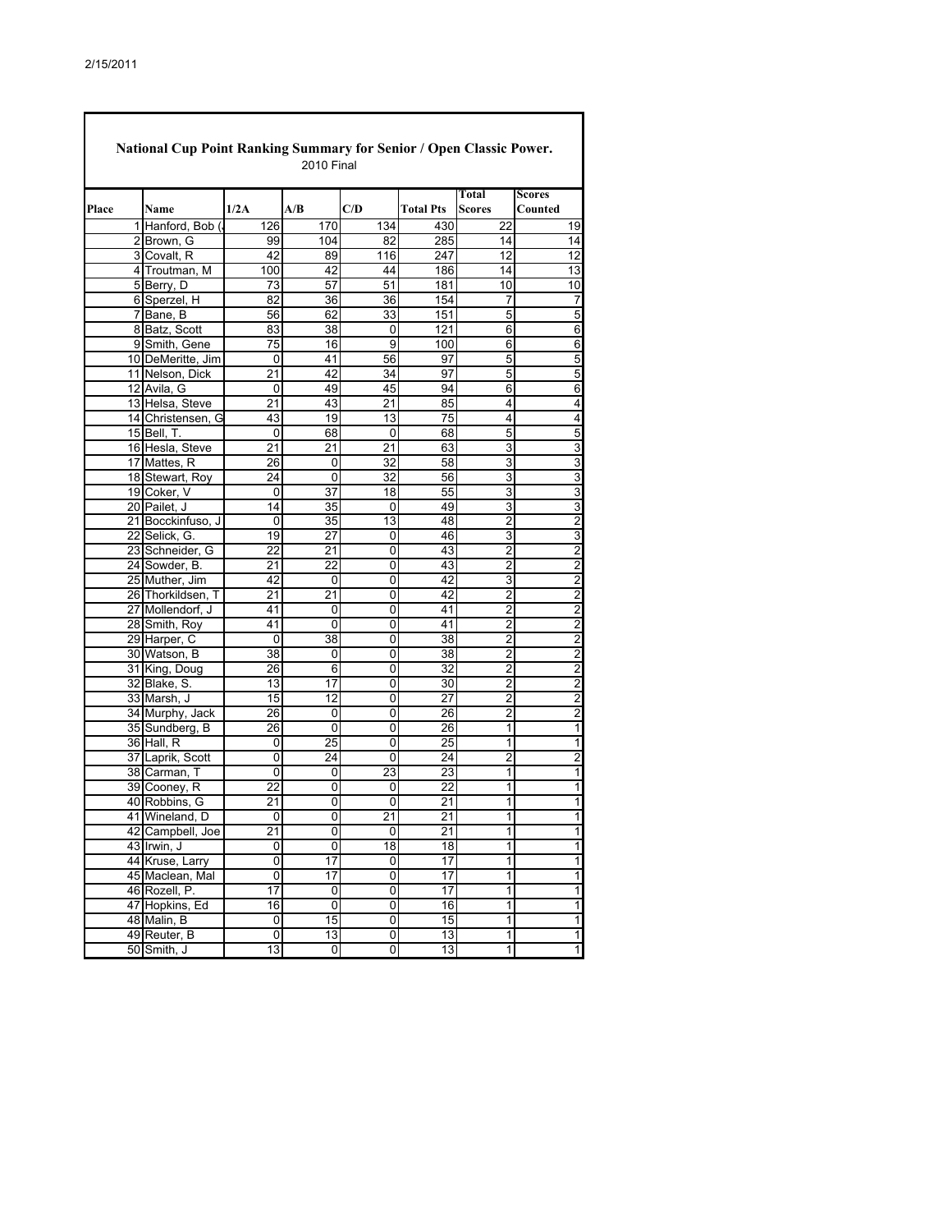| National Cup Point Ranking Summary for Senior / Open Classic Power.<br><b>2010 Final</b> |                               |                 |                      |                 |                  |                                  |                                  |  |  |  |
|------------------------------------------------------------------------------------------|-------------------------------|-----------------|----------------------|-----------------|------------------|----------------------------------|----------------------------------|--|--|--|
|                                                                                          |                               |                 |                      |                 |                  | Total                            | <b>Scores</b>                    |  |  |  |
| Place                                                                                    | <b>Name</b>                   | 1/2A            | A/B                  | C/D             | <b>Total Pts</b> | Scores                           | Counted                          |  |  |  |
| $\mathbf{1}$                                                                             | Hanford, Bob (                | 126             | 170                  | 134             | 430              | 22                               | 19                               |  |  |  |
|                                                                                          | 2 Brown, G                    | 99              | 104                  | 82              | 285              | 14                               | 14                               |  |  |  |
|                                                                                          | 3 Covalt, R                   | 42              | 89                   | 116             | 247              | $\overline{12}$                  | $\overline{12}$                  |  |  |  |
|                                                                                          | 4 Troutman, M                 | 100             | 42                   | 44              | 186              | 14                               | $\overline{13}$                  |  |  |  |
|                                                                                          | 5 Berry, D                    | $\overline{73}$ | 57                   | 51              | 181              | 10                               | 10                               |  |  |  |
|                                                                                          | 6 Sperzel, H                  | 82              | 36                   | 36              | 154              | 7                                | $\overline{7}$                   |  |  |  |
|                                                                                          | 7 Bane, B                     | 56              | 62                   | 33              | 151              | 5                                | 5                                |  |  |  |
|                                                                                          | 8 Batz, Scott                 | 83              | 38                   | 0               | 121              | 6                                | 6                                |  |  |  |
| 9                                                                                        | Smith, Gene                   | 75              | 16                   | 9               | 100              | 6                                | 6                                |  |  |  |
|                                                                                          | 10 DeMeritte, Jim             | 0               | 41                   | 56              | 97               | 5                                | 5                                |  |  |  |
|                                                                                          | 11 Nelson, Dick               | 21              | 42                   | 34              | 97               | $\overline{5}$                   | 5                                |  |  |  |
|                                                                                          | 12 Avila, G                   | 0               | 49                   | 45              | 94               | 6                                | 6                                |  |  |  |
|                                                                                          | 13 Helsa, Steve               | 21              | 43                   | 21              | 85               | 4                                | 4                                |  |  |  |
|                                                                                          | 14 Christensen, G             | 43              | 19                   | 13              | $\overline{75}$  | 4                                | $\overline{\mathbf{4}}$          |  |  |  |
|                                                                                          | 15 Bell, T.                   | 0               | 68                   | 0               | 68               | 5                                | 5                                |  |  |  |
|                                                                                          | 16 Hesla, Steve               | 21              | 21                   | 21              | 63               | 3                                | 3                                |  |  |  |
|                                                                                          | 17 Mattes, R                  | 26              | 0                    | 32              | 58               | 3                                | $\overline{3}$                   |  |  |  |
|                                                                                          | 18 Stewart, Roy               | 24              | 0                    | 32              | 56               | 3                                | $\overline{3}$                   |  |  |  |
|                                                                                          | 19 Coker, V                   | 0               | 37                   | 18              | 55               | 3                                | 3                                |  |  |  |
|                                                                                          | 20 Pailet, J                  | 14              | $\overline{35}$      | 0               | 49               | 3                                | $\overline{3}$                   |  |  |  |
|                                                                                          | 21 Bocckinfuso, J             | 0               | 35                   | 13              | 48               | $\overline{2}$                   | $\overline{2}$                   |  |  |  |
|                                                                                          | 22 Selick, G.                 | 19              | 27                   | 0               | 46               | 3                                | 3                                |  |  |  |
|                                                                                          | 23 Schneider, G               | 22              | 21                   | 0               | 43               | $\overline{2}$                   | $\frac{2}{2}$                    |  |  |  |
|                                                                                          | 24 Sowder, B.                 | 21              | 22                   | 0               | 43               | $\overline{2}$                   |                                  |  |  |  |
|                                                                                          | 25 Muther, Jim                | 42              | 0                    | 0               | 42               | 3                                | $\overline{\mathbf{c}}$          |  |  |  |
|                                                                                          | 26 Thorkildsen, T             | 21              | $\overline{21}$      | 0               | 42               | $\overline{2}$                   | $\frac{2}{2}$                    |  |  |  |
|                                                                                          | 27 Mollendorf, J              | 41              | 0                    | 0               | 41               | $\overline{2}$                   |                                  |  |  |  |
|                                                                                          | 28 Smith, Roy                 | 41<br>0         | 0<br>$\overline{38}$ | 0<br>0          | 41<br>38         | $\overline{2}$<br>$\overline{2}$ | $\overline{\mathbf{c}}$          |  |  |  |
|                                                                                          | 29 Harper, C                  |                 |                      |                 |                  |                                  | $\frac{2}{2}$                    |  |  |  |
|                                                                                          | 30 Watson, B                  | 38<br>26        | 0<br>6               | 0<br>$\Omega$   | 38<br>32         | 2<br>$\overline{2}$              | $\overline{\mathbf{c}}$          |  |  |  |
|                                                                                          | 31 King, Doug<br>32 Blake, S. | 13              | 17                   | $\overline{0}$  | 30               | $\overline{2}$                   |                                  |  |  |  |
|                                                                                          | 33 Marsh, J                   | 15              | 12                   | 0               | 27               | $\overline{2}$                   | $\overline{c}$<br>$\overline{2}$ |  |  |  |
|                                                                                          | 34 Murphy, Jack               | 26              | 0                    | 0               | 26               | 2                                | 2                                |  |  |  |
|                                                                                          | 35 Sundberg, B                | 26              | 0                    | 0               | 26               | 1                                | $\overline{1}$                   |  |  |  |
|                                                                                          | 36 Hall, R                    | 0               | 25                   | 0               | 25               | 1                                | 1                                |  |  |  |
|                                                                                          | 37 Laprik, Scott              | 0               | 24                   | 0               | 24               | $\overline{2}$                   | $\overline{\mathbf{c}}$          |  |  |  |
|                                                                                          | 38 Carman, T                  | 0               | 0                    | 23              | 23               | 1                                | $\overline{1}$                   |  |  |  |
|                                                                                          | 39 Cooney, R                  | 22              | 0                    | 0               | 22               | 1                                | $\overline{1}$                   |  |  |  |
|                                                                                          | 40 Robbins, G                 | 21              | 0                    | 0               | 21               | 1                                | 1                                |  |  |  |
|                                                                                          | 41 Wineland, D                | 0               | 0                    | 21              | 21               | $\mathbf{1}$                     | $\mathbf{1}$                     |  |  |  |
|                                                                                          | 42 Campbell, Joe              | 21              | 0                    | 0               | $\overline{21}$  | $\overline{1}$                   | $\overline{1}$                   |  |  |  |
|                                                                                          | 43 Irwin, J                   | 0               | 0                    | $\overline{18}$ | 18               | $\overline{1}$                   | $\overline{1}$                   |  |  |  |
|                                                                                          | 44 Kruse, Larry               | $\overline{0}$  | $\overline{17}$      | 0               | 17               | $\overline{1}$                   | $\overline{1}$                   |  |  |  |
|                                                                                          | 45 Maclean, Mal               | $\overline{0}$  | 17                   | $\overline{0}$  | 17               | $\overline{1}$                   | $\overline{1}$                   |  |  |  |
|                                                                                          | 46 Rozell, P.                 | 17              | 0                    | $\overline{0}$  | 17               | 1                                | $\overline{1}$                   |  |  |  |
|                                                                                          | 47 Hopkins, Ed                | 16              | 0                    | $\overline{0}$  | 16               | $\overline{1}$                   | $\overline{\mathbf{1}}$          |  |  |  |
|                                                                                          | 48 Malin, B                   | 0               | 15                   | $\overline{0}$  | 15               | $\overline{1}$                   | $\overline{1}$                   |  |  |  |
|                                                                                          | 49 Reuter, B                  | 0               | 13                   | 0               | 13               | 1                                | $\overline{1}$                   |  |  |  |
|                                                                                          | 50 Smith, J                   | 13              | 0                    | $\overline{0}$  | 13               | 1                                | 1                                |  |  |  |

1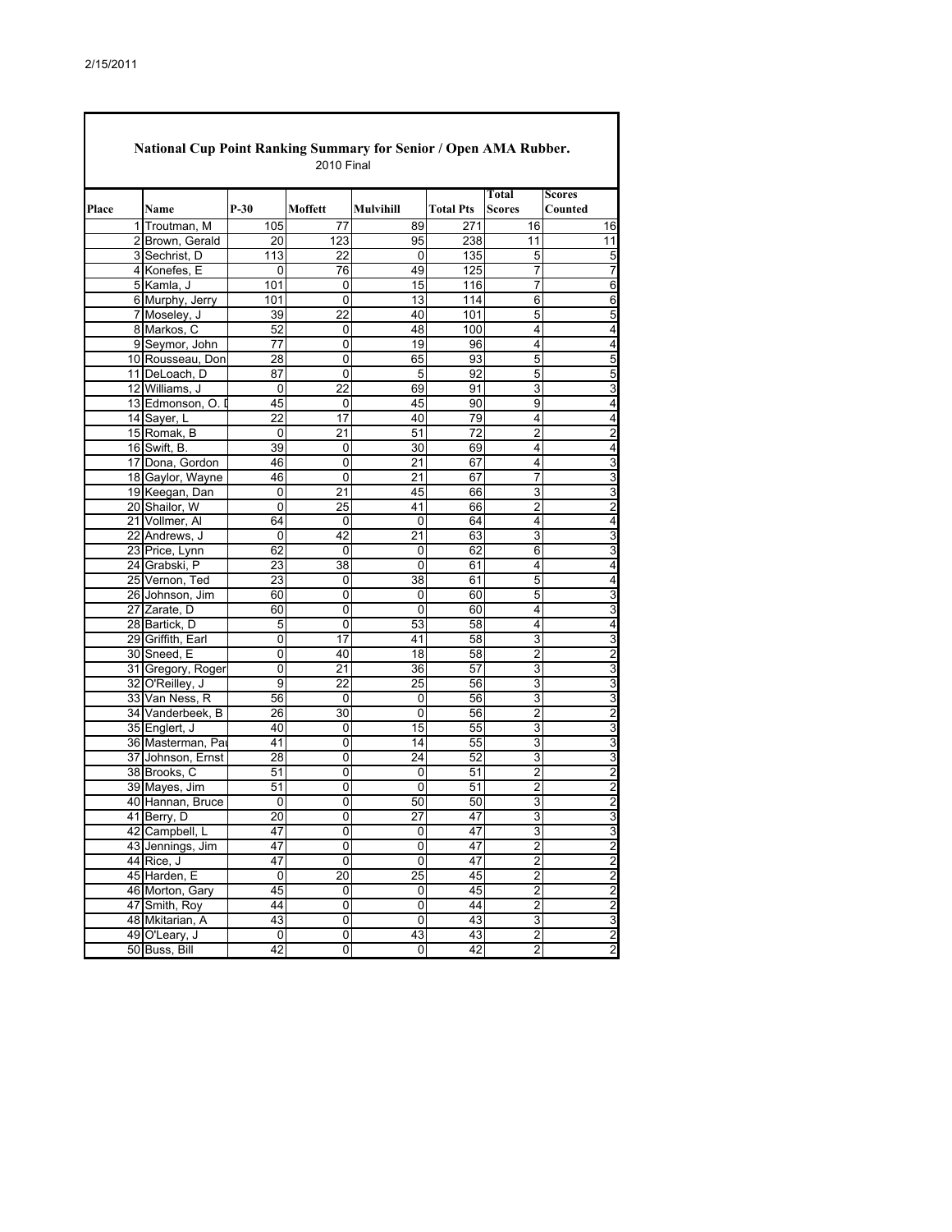$\overline{\phantom{a}}$ 

|       | <b>National Cup Point Ranking Summary for Senior / Open AMA Rubber.</b> |           | <b>2010 Final</b> |                 |                  |                         |                         |
|-------|-------------------------------------------------------------------------|-----------|-------------------|-----------------|------------------|-------------------------|-------------------------|
|       |                                                                         |           |                   |                 |                  | Total                   | Scores                  |
| Place | <b>Name</b>                                                             | $P-30$    | Moffett           | Mulvihill       | <b>Total Pts</b> | <b>Scores</b>           | Counted                 |
|       | 1 Troutman, M                                                           | 105       | 77                | 89              | 271              | 16                      | 16                      |
|       | 2 Brown, Gerald                                                         | 20        | 123               | 95              | 238              | 11                      | 11                      |
|       | 3 Sechrist, D                                                           | 113       | 22                | 0               | 135              | 5                       | 5                       |
|       | 4 Konefes, E                                                            | 0         | 76                | 49              | 125              | $\overline{7}$          | $\overline{7}$          |
|       | 5 Kamla, J                                                              | 101       | 0                 | 15              | 116              | $\overline{7}$          | 6                       |
|       | 6 Murphy, Jerry                                                         | 101       | 0                 | 13              | 114              | 6                       | 6                       |
|       | 7 Moseley, J                                                            | 39        | 22                | 40              | 101              | $\overline{5}$          | 5                       |
|       | 8 Markos, C                                                             | 52        | 0                 | 48              | 100              | 4                       | 4                       |
|       | 9 Seymor, John                                                          | 77        | 0                 | 19              | 96               | 4                       | 4                       |
|       | 10 Rousseau, Don                                                        | 28        | 0                 | 65              | 93               | $\overline{5}$          | 5                       |
|       | 11 DeLoach, D                                                           | 87        | 0                 | 5               | 92               | 5                       | 5                       |
|       | 12 Williams, J                                                          | 0         | 22                | 69              | 91               | 3                       | 3                       |
|       | 13 Edmonson, O. I                                                       | 45        | 0                 | 45              | 90               | 9                       | 4                       |
|       | 14 Sayer, L                                                             | 22        | 17                | 40              | 79               | 4                       | 4                       |
|       | 15 Romak, B                                                             | 0         | 21                | 51              | 72               | 2                       | 2                       |
|       | 16 Swift, B.                                                            | 39        | 0                 | 30              | 69               | 4                       | 4                       |
|       | 17 Dona, Gordon                                                         | 46        | 0                 | 21              | 67               | 4                       | 3                       |
|       | 18 Gaylor, Wayne                                                        | 46        | 0                 | 21              | 67               | 7                       | 3                       |
|       | 19 Keegan, Dan                                                          | 0         | 21                | 45              | 66               | 3                       | 3                       |
|       | 20 Shailor, W                                                           | 0         | 25                | 41              | 66               | 2                       | 2                       |
|       | 21 Vollmer, Al                                                          | 64        | 0                 | 0               | 64               | 4                       | 4                       |
|       | 22 Andrews, J                                                           | 0         | 42                | 21              | 63               | 3                       | 3                       |
|       | 23 Price, Lynn                                                          | 62        | 0                 | 0               | 62               | 6                       | 3                       |
|       | 24 Grabski, P                                                           | 23        | 38                | 0               | 61               | 4                       | 4                       |
|       | 25 Vernon, Ted                                                          | 23        | 0                 | 38              | 61               | 5                       | 4                       |
|       | 26 Johnson, Jim                                                         | 60        | 0                 | 0               | 60               | 5                       | 3                       |
|       | 27 Zarate, D                                                            | 60        | 0                 | 0               | 60               | 4                       | 3                       |
|       | 28 Bartick, D                                                           | 5         | 0                 | 53              | 58               | 4                       | 4                       |
|       | 29 Griffith, Earl                                                       | 0         | 17                | 41              | 58               | 3                       | 3                       |
|       | 30 Sneed, E                                                             | 0         | 40                | 18              | 58               | 2                       | $\overline{c}$          |
|       | 31 Gregory, Roger                                                       | 0         | 21                | 36              | 57               | 3                       | 3                       |
|       | 32 O'Reilley, J                                                         | 9         | 22                | 25              | 56               | 3                       | 3                       |
|       | 33 Van Ness, R                                                          | 56        | 0                 | 0               | 56               | 3                       | 3                       |
|       | 34 Vanderbeek, B                                                        | 26        | 30                | 0               | 56               | $\overline{2}$          | $\overline{2}$          |
|       | 35 Englert, J                                                           | 40        | 0                 | 15              | 55               | 3                       | 3                       |
|       | 36 Masterman, Pa                                                        | 41        | 0                 | 14              | 55               | 3                       | 3                       |
|       | 37 Johnson, Ernst                                                       | 28        | 0                 | 24              | 52               | 3                       | 3                       |
|       | 38 Brooks, C                                                            | 51        | 0                 | 0               | 51               | $\overline{2}$          | 2                       |
|       | 39 Mayes, Jim                                                           | 51        | 0                 | 0               | 51               | 2                       | 2                       |
|       | 40 Hannan, Bruce                                                        | 0         | 0                 | 50              | 50               | 3                       | 2                       |
|       | 41 Berry, D                                                             | 20        | 0                 | 27              | 47               | 3                       | 3                       |
|       | 42 Campbell, L                                                          | 47        | 0                 | 0               | 47               | 3                       | 3                       |
|       | 43 Jennings, Jim                                                        | 47        | $\overline{0}$    | $\overline{0}$  | 47               | $\overline{c}$          | $\overline{2}$          |
|       | 44 Rice, J                                                              | 47        | 0                 | 0               | 47               | $\overline{2}$          | $\overline{2}$          |
|       | 45 Harden, E                                                            | 0         | $\overline{20}$   | $\overline{25}$ | 45               | $\overline{2}$          | $\overline{2}$          |
|       | 46 Morton, Gary                                                         | 45        | 0                 | $\overline{0}$  | 45               | $\overline{\mathbf{c}}$ | $\overline{2}$          |
|       | 47 Smith, Roy                                                           | 44        | 0                 | $\overline{0}$  | 44               | $\overline{2}$          | $\overline{2}$          |
|       | 48 Mkitarian, A                                                         | 43        | 0                 | $\overline{0}$  | 43               | 3                       | 3                       |
|       | 49 O'Leary, J                                                           | $\pmb{0}$ | 0                 | 43              | 43               | $\overline{2}$          | $\overline{\mathbf{c}}$ |
|       | 50 Buss, Bill                                                           | 42        | 0                 | $\overline{0}$  | 42               | $\overline{2}$          | $\overline{2}$          |
|       |                                                                         |           |                   |                 |                  |                         |                         |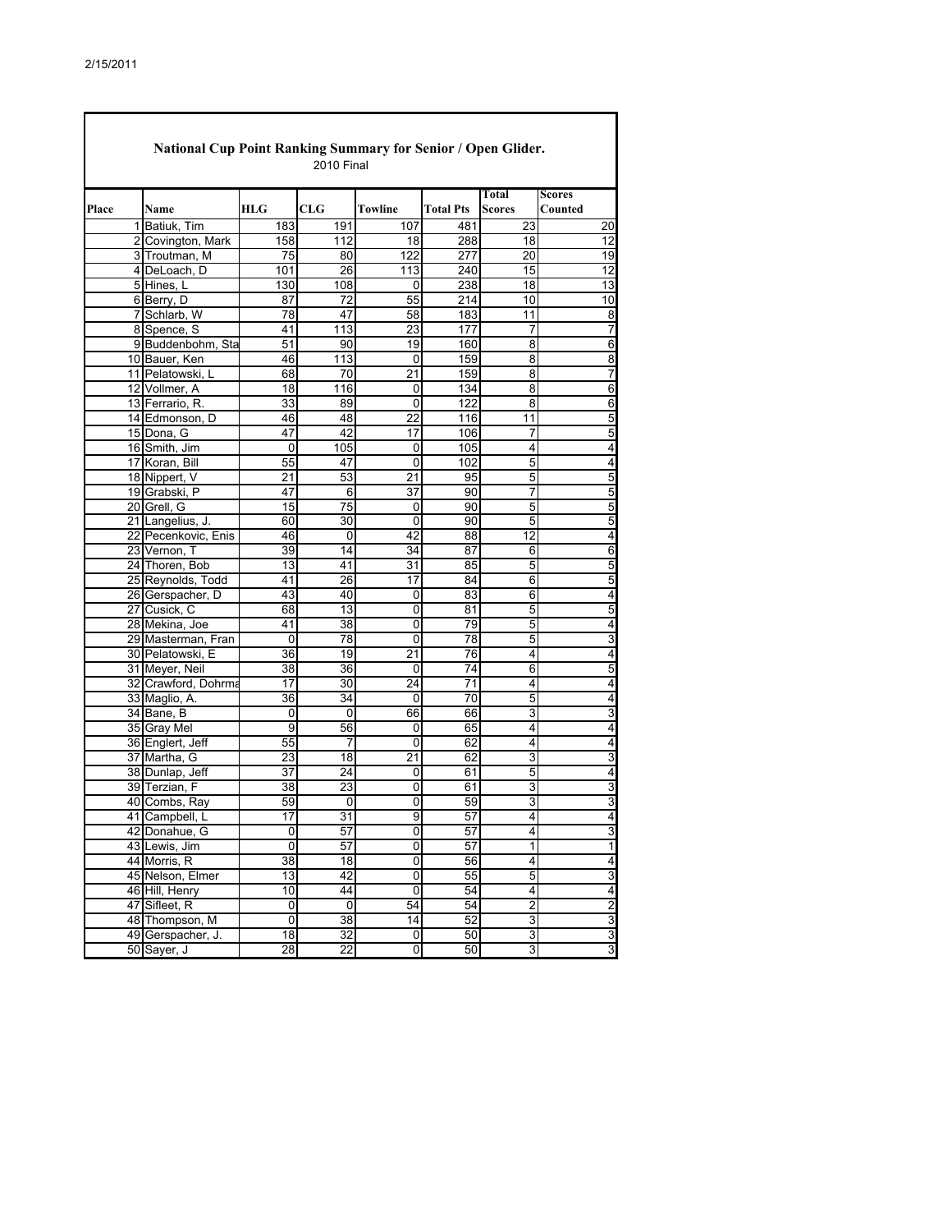| National Cup Point Ranking Summary for Senior / Open Glider.<br><b>2010 Final</b> |                     |                 |                             |         |                  |                         |                          |  |  |  |
|-----------------------------------------------------------------------------------|---------------------|-----------------|-----------------------------|---------|------------------|-------------------------|--------------------------|--|--|--|
| Place                                                                             | Name                | <b>HLG</b>      | $\boldsymbol{\mathrm{CLG}}$ | Towline | <b>Total Pts</b> | Total<br><b>Scores</b>  | <b>Scores</b><br>Counted |  |  |  |
|                                                                                   | 1 Batiuk. Tim       | 183             | 191                         | 107     | 481              | 23                      | 20                       |  |  |  |
|                                                                                   | 2 Covington, Mark   | 158             | 112                         | 18      | 288              | 18                      | 12                       |  |  |  |
|                                                                                   | 3 Troutman, M       | 75              | 80                          | 122     | 277              | 20                      | 19                       |  |  |  |
|                                                                                   | 4 DeLoach, D        | 101             | 26                          | 113     | 240              | 15                      | $\overline{12}$          |  |  |  |
|                                                                                   | 5 Hines, L          | 130             | 108                         | 0       | 238              | 18                      | 13                       |  |  |  |
|                                                                                   | 6 Berry, D          | 87              | 72                          | 55      | 214              | 10                      | 10                       |  |  |  |
|                                                                                   | 7 Schlarb, W        | 78              | 47                          | 58      | 183              | 11                      | 8                        |  |  |  |
|                                                                                   | 8 Spence, S         | 41              | 113                         | 23      | 177              | 7                       | $\overline{7}$           |  |  |  |
|                                                                                   | 9 Buddenbohm, Sta   | 51              | 90                          | 19      | 160              | 8                       | 6                        |  |  |  |
|                                                                                   | 10 Bauer, Ken       | 46              | 113                         | 0       | 159              | 8                       | 8                        |  |  |  |
|                                                                                   | 11 Pelatowski, L    | 68              | 70                          | 21      | 159              | 8                       | $\overline{7}$           |  |  |  |
|                                                                                   | 12 Vollmer, A       |                 |                             |         |                  | 8                       | 6                        |  |  |  |
|                                                                                   |                     | 18              | 116                         | 0       | 134<br>122       | 8                       |                          |  |  |  |
|                                                                                   | 13 Ferrario, R.     | 33              | 89                          | 0       |                  |                         | 6                        |  |  |  |
|                                                                                   | 14 Edmonson, D      | 46              | 48                          | 22      | 116              | 11                      | 5                        |  |  |  |
|                                                                                   | 15 Dona, G          | 47              | 42                          | 17      | 106              | 7                       | $\overline{5}$           |  |  |  |
|                                                                                   | 16 Smith, Jim       | 0               | 105                         | 0       | 105              | 4                       | 4                        |  |  |  |
|                                                                                   | 17 Koran, Bill      | 55              | 47                          | 0       | 102              | 5                       | 4                        |  |  |  |
|                                                                                   | 18 Nippert, V       | 21              | 53                          | 21      | 95               | 5                       | $\overline{5}$           |  |  |  |
|                                                                                   | 19 Grabski, P       | 47              | 6                           | 37      | 90               | 7                       | 5                        |  |  |  |
|                                                                                   | 20 Grell, G         | 15              | 75                          | 0       | 90               | 5                       | $\overline{5}$           |  |  |  |
|                                                                                   | 21 Langelius, J.    | 60              | 30                          | 0       | 90               | 5                       | 5                        |  |  |  |
|                                                                                   | 22 Pecenkovic, Enis | 46              | 0                           | 42      | 88               | 12                      | 4                        |  |  |  |
|                                                                                   | 23 Vernon, T        | 39              | 14                          | 34      | 87               | 6                       | 6                        |  |  |  |
|                                                                                   | 24 Thoren, Bob      | 13              | 41                          | 31      | 85               | 5                       | 5                        |  |  |  |
|                                                                                   | 25 Reynolds, Todd   | 41              | 26                          | 17      | 84               | 6                       | $\overline{5}$           |  |  |  |
|                                                                                   | 26 Gerspacher, D    | 43              | 40                          | 0       | 83               | 6                       | 4                        |  |  |  |
|                                                                                   | 27 Cusick, C        | 68              | 13                          | 0       | 81               | 5                       | $\overline{5}$           |  |  |  |
|                                                                                   | 28 Mekina, Joe      | 41              | 38                          | 0       | 79               | 5                       | 4                        |  |  |  |
|                                                                                   | 29 Masterman, Fran  | 0               | 78                          | 0       | 78               | 5                       | 3                        |  |  |  |
|                                                                                   | 30 Pelatowski, E    | 36              | 19                          | 21      | 76               | 4                       | 4                        |  |  |  |
|                                                                                   | 31 Meyer, Neil      | 38              | 36                          | 0       | 74               | 6                       | 5                        |  |  |  |
|                                                                                   | 32 Crawford, Dohrma | 17              | 30                          | 24      | 71               | 4                       | 4                        |  |  |  |
|                                                                                   | 33 Maglio, A.       | 36              | 34                          | 0       | 70               | 5                       | 4                        |  |  |  |
|                                                                                   | 34 Bane, B          | 0               | 0                           | 66      | 66               | 3                       | 3                        |  |  |  |
|                                                                                   | 35 Gray Mel         | 9               | 56                          | 0       | 65               | 4                       | 4                        |  |  |  |
|                                                                                   | 36 Englert, Jeff    | 55              | 7                           | 0       | 62               | 4                       | 4                        |  |  |  |
|                                                                                   | 37 Martha, G        | 23              | 18                          | 21      | 62               | 3                       | 3                        |  |  |  |
|                                                                                   | 38 Dunlap, Jeff     | 37              | 24                          | 0       | 61               | 5                       | 4                        |  |  |  |
|                                                                                   | 39 Terzian, F       | 38              | 23                          | 0       | 61               | 3                       | 3                        |  |  |  |
|                                                                                   | 40 Combs, Ray       | 59              | 0                           | 0       | 59               | 3                       | 3                        |  |  |  |
|                                                                                   | 41 Campbell, L      | 17              | 31                          | 9       | 57               | $\overline{4}$          | 4                        |  |  |  |
|                                                                                   | 42 Donahue, G       | 0               | 57                          | 0       | 57               | 4                       | 3                        |  |  |  |
|                                                                                   | 43 Lewis, Jim       | 0               | 57                          | 0       | 57               | $\overline{1}$          | $\overline{1}$           |  |  |  |
|                                                                                   | 44 Morris, R        | $\overline{38}$ | 18                          | 0       | 56               | 4                       | $\overline{4}$           |  |  |  |
|                                                                                   | 45 Nelson, Elmer    | 13              | 42                          | 0       | 55               | 5                       | 3                        |  |  |  |
|                                                                                   | 46 Hill, Henry      | 10              | 44                          | 0       | $\overline{5}4$  | $\overline{\mathbf{4}}$ | 4                        |  |  |  |
|                                                                                   | 47 Sifleet, R       | 0               | 0                           | 54      | 54               | 2                       | $\overline{2}$           |  |  |  |
|                                                                                   | 48 Thompson, M      | 0               | 38                          | 14      | 52               | ω                       | $\overline{3}$           |  |  |  |
|                                                                                   | 49 Gerspacher, J.   | 18              | 32                          | 0       | 50               | 3                       | $\overline{3}$           |  |  |  |
|                                                                                   |                     |                 |                             |         |                  |                         |                          |  |  |  |
|                                                                                   | 50 Sayer, J         | 28              | 22                          | 0       | 50               | 3                       | 3                        |  |  |  |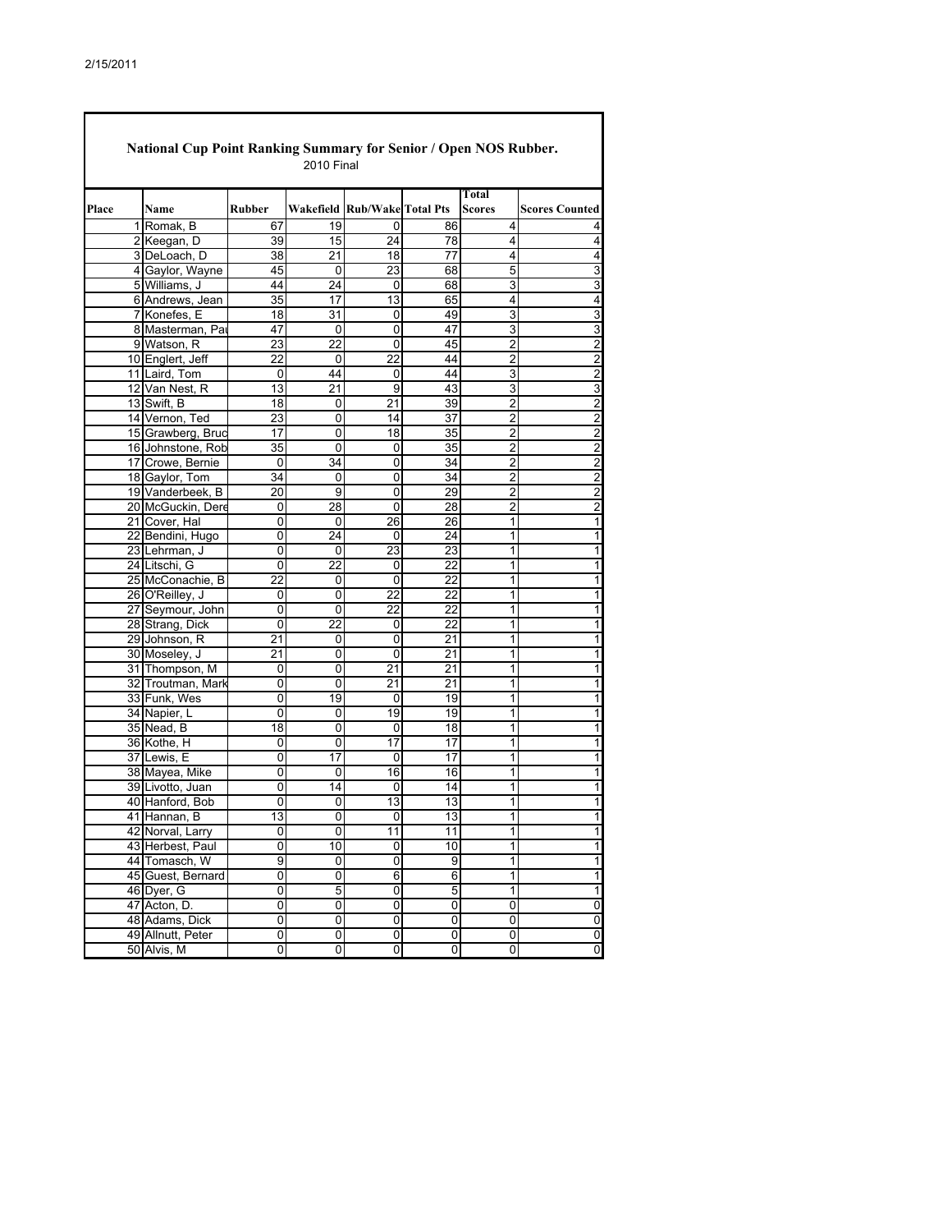| National Cup Point Ranking Summary for Senior / Open NOS Rubber.<br><b>2010 Final</b> |                            |                |                 |                              |                 |                 |                         |  |  |  |
|---------------------------------------------------------------------------------------|----------------------------|----------------|-----------------|------------------------------|-----------------|-----------------|-------------------------|--|--|--|
| Place                                                                                 | Name                       | Rubber         |                 | Wakefield Rub/Wake Total Pts |                 | Total<br>Scores | <b>Scores Counted</b>   |  |  |  |
|                                                                                       | 1 Romak, B                 | 67             | 19              | 0                            | 86              | 4               | 4                       |  |  |  |
|                                                                                       | 2 Keegan, D                | 39             | 15              | 24                           | 78              | 4               | 4                       |  |  |  |
|                                                                                       | 3 DeLoach, D               | 38             | 21              | 18                           | 77              | 4               | 4                       |  |  |  |
|                                                                                       | 4 Gaylor, Wayne            | 45             | 0               | 23                           | 68              | 5               | 3                       |  |  |  |
|                                                                                       | 5 Williams, J              | 44             | 24              | 0                            | 68              | 3               | $\overline{3}$          |  |  |  |
|                                                                                       | 6 Andrews, Jean            | 35             | 17              | 13                           | 65              | 4               | 4                       |  |  |  |
|                                                                                       | 7 Konefes, E               | 18             | 31              | 0                            | 49              | 3               | $\overline{3}$          |  |  |  |
|                                                                                       | 8 Masterman, Par           | 47             | 0               | 0                            | 47              | 3               | $\overline{3}$          |  |  |  |
|                                                                                       | 9 Watson, R                | 23             | 22              | 0                            | 45              | $\overline{2}$  | $\overline{c}$          |  |  |  |
|                                                                                       | 10 Englert, Jeff           | 22             | 0               | $\overline{22}$              | 44              | $\overline{2}$  | $\overline{2}$          |  |  |  |
|                                                                                       | 11 Laird, Tom              | 0              | 44              | 0                            | 44              | 3               | $\overline{c}$          |  |  |  |
|                                                                                       | 12 Van Nest, R             | 13             | 21              | 9                            | 43              | 3               | $\overline{3}$          |  |  |  |
|                                                                                       | 13 Swift, B                | 18             | 0               | 21                           | 39              | 2               | $\overline{2}$          |  |  |  |
|                                                                                       | 14 Vernon, Ted             | 23             | $\mathbf 0$     | 14                           | 37              | $\overline{2}$  | $\overline{2}$          |  |  |  |
|                                                                                       | 15 Grawberg, Bruc          | 17             | 0               | 18                           | 35              | 2               | $\overline{2}$          |  |  |  |
|                                                                                       | 16 Johnstone, Rob          | 35             | 0               | 0                            | 35              | $\overline{2}$  | $\overline{\mathbf{c}}$ |  |  |  |
|                                                                                       | 17 Crowe, Bernie           | 0              | 34              | 0                            | 34              | 2               | $\overline{\mathbf{c}}$ |  |  |  |
|                                                                                       | 18 Gaylor, Tom             | 34             | 0               | 0                            | 34              | 2               | $\overline{2}$          |  |  |  |
|                                                                                       | 19 Vanderbeek, B           | 20             | 9               | $\overline{0}$               | 29              | $\overline{2}$  | $\overline{c}$          |  |  |  |
|                                                                                       | 20 McGuckin, Dere          | 0              | 28              | 0                            | 28              | 2               | $\overline{2}$          |  |  |  |
|                                                                                       | 21 Cover, Hal              | 0              | 0               | 26                           | 26              | 1               | 1                       |  |  |  |
|                                                                                       | 22 Bendini, Hugo           | 0              | 24              | 0                            | $\overline{24}$ | 1               | 1                       |  |  |  |
|                                                                                       | 23 Lehrman, J              | 0              | 0               | 23                           | 23              | 1               | 1                       |  |  |  |
|                                                                                       | 24 Litschi, G              | 0              | 22              | 0                            | 22              | 1               | 1                       |  |  |  |
|                                                                                       | 25 McConachie, B           | 22             | 0               | 0                            | 22              | 1               | 1                       |  |  |  |
|                                                                                       | 26 O'Reilley, J            | 0              | $\mathbf 0$     | 22                           | 22              | 1               | 1                       |  |  |  |
|                                                                                       | 27 Seymour, John           | 0              | 0               | 22                           | 22              | 1               | 1                       |  |  |  |
|                                                                                       | 28 Strang, Dick            | 0              | $\overline{22}$ | 0                            | $\overline{22}$ | 1               | 1                       |  |  |  |
|                                                                                       | 29 Johnson, R              | 21             | 0               | 0                            | 21              | 1               | 1                       |  |  |  |
|                                                                                       | 30 Moseley, J              | 21             | 0               | 0                            | 21              | 1               | 1                       |  |  |  |
|                                                                                       | 31 Thompson, M             | 0              | 0               | 21                           | 21              | 1               | 1                       |  |  |  |
|                                                                                       | 32 Troutman, Mark          | 0              | 0               | 21                           | 21              | 1               | 1                       |  |  |  |
|                                                                                       | 33 Funk, Wes               | 0<br>0         | 19              | 0<br>19                      | 19<br>19        | 1<br>1          | 1<br>1                  |  |  |  |
|                                                                                       | 34 Napier, L<br>35 Nead, B | 18             | 0               |                              | 18              | 1               | 1                       |  |  |  |
|                                                                                       | 36 Kothe, H                | 0              | 0<br>0          | 0<br>$\overline{17}$         | 17              | 1               | 1                       |  |  |  |
|                                                                                       | 37 Lewis, E                | 0              | 17              | 0                            | 17              | 1               | 1                       |  |  |  |
|                                                                                       | 38 Mayea, Mike             | 0              | 0               | 16                           | 16              | 1               | 1                       |  |  |  |
|                                                                                       | 39 Livotto, Juan           | 0              | 14              | 0                            | 14              | 1               | 1                       |  |  |  |
|                                                                                       | 40 Hanford, Bob            | 0              | 0               | $\overline{13}$              | 13              | 1               | 1                       |  |  |  |
|                                                                                       | 41 Hannan. B               | 13             | 0               | 0                            | 13              | 1               | 1                       |  |  |  |
|                                                                                       | 42 Norval, Larry           | 0              | 0               | 11                           | 11              | 1               | 1                       |  |  |  |
|                                                                                       | 43 Herbest, Paul           | $\overline{0}$ | 10              | $\overline{0}$               | 10              | 1               | $\overline{1}$          |  |  |  |
|                                                                                       | 44 Tomasch, W              | 9              | 0               | 0                            | 9               | 1               | $\overline{\mathbf{1}}$ |  |  |  |
|                                                                                       | 45 Guest, Bernard          | $\overline{0}$ | 0               | 6                            | 6               | 1               | $\overline{1}$          |  |  |  |
|                                                                                       | 46 Dyer, G                 | $\overline{0}$ | $\overline{5}$  | 0                            | $\overline{5}$  | 1               | $\overline{1}$          |  |  |  |
|                                                                                       | 47 Acton, D.               | 0              | 0               | 0                            | 0               | 0               | $\overline{0}$          |  |  |  |
|                                                                                       | 48 Adams, Dick             | 0              | 0               | $\overline{0}$               | 0               | 0               | o                       |  |  |  |
|                                                                                       | 49 Allnutt, Peter          | 0              | 0               | 0                            | 0               | 0               | $\overline{0}$          |  |  |  |
|                                                                                       | 50 Alvis, M                | 0              | 0               | 0                            | 0               | 0               | 0                       |  |  |  |